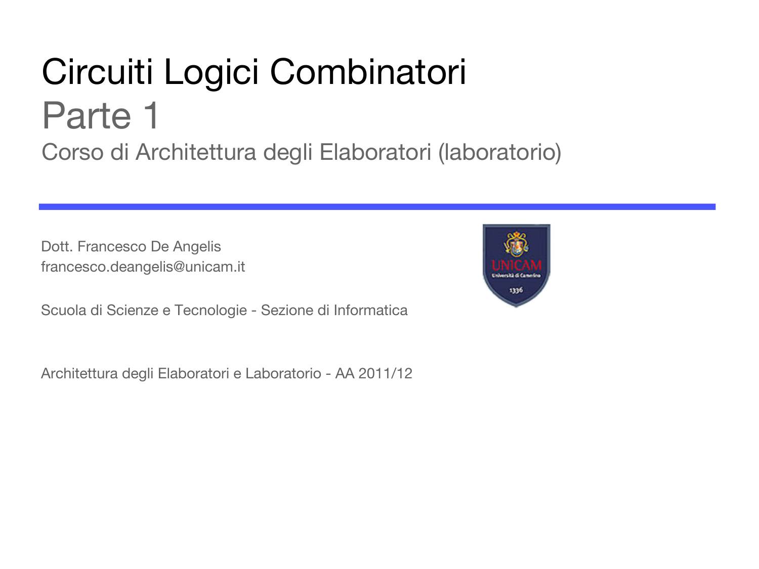#### Circuiti Logici Combinatori Parte 1 Corso di Architettura degli Elaboratori (laboratorio)

Dott. Francesco De Angelis francesco.deangelis@unicam.it

Scuola di Scienze e Tecnologie - Sezione di Informatica

Architettura degli Elaboratori e Laboratorio - AA 2011/12

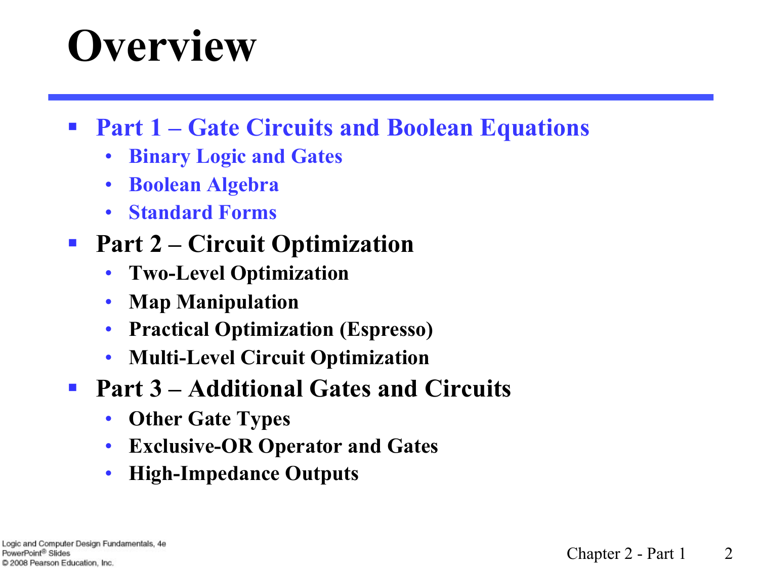## **Overview**

#### § **Part 1 – Gate Circuits and Boolean Equations**

- **Binary Logic and Gates**
- **Boolean Algebra**
- **Standard Forms**

#### ■ Part 2 – Circuit Optimization

- **Two-Level Optimization**
- **Map Manipulation**
- **Practical Optimization (Espresso)**
- **Multi-Level Circuit Optimization**
- § **Part 3 Additional Gates and Circuits** 
	- **Other Gate Types**
	- **Exclusive-OR Operator and Gates**
	- **High-Impedance Outputs**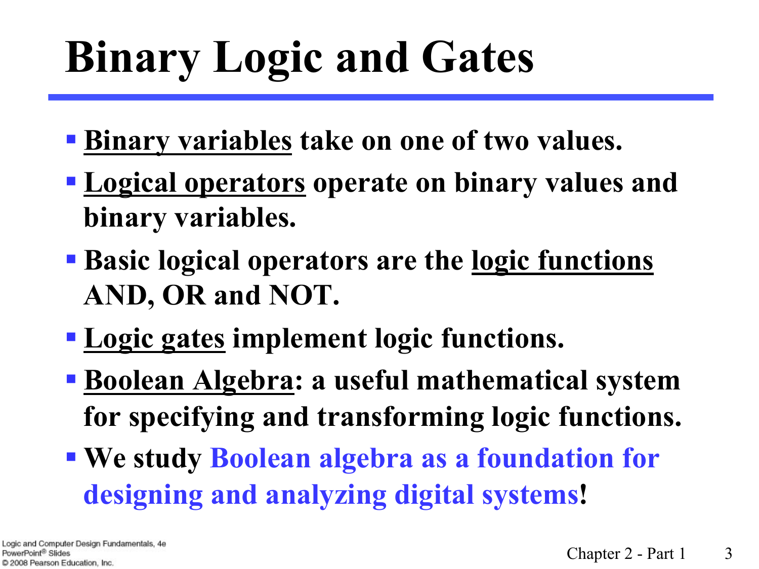# **Binary Logic and Gates**

- § **Binary variables take on one of two values.**
- § **Logical operators operate on binary values and binary variables.**
- § **Basic logical operators are the logic functions AND, OR and NOT.**
- § **Logic gates implement logic functions.**
- § **Boolean Algebra: a useful mathematical system for specifying and transforming logic functions.**
- § **We study Boolean algebra as a foundation for designing and analyzing digital systems!**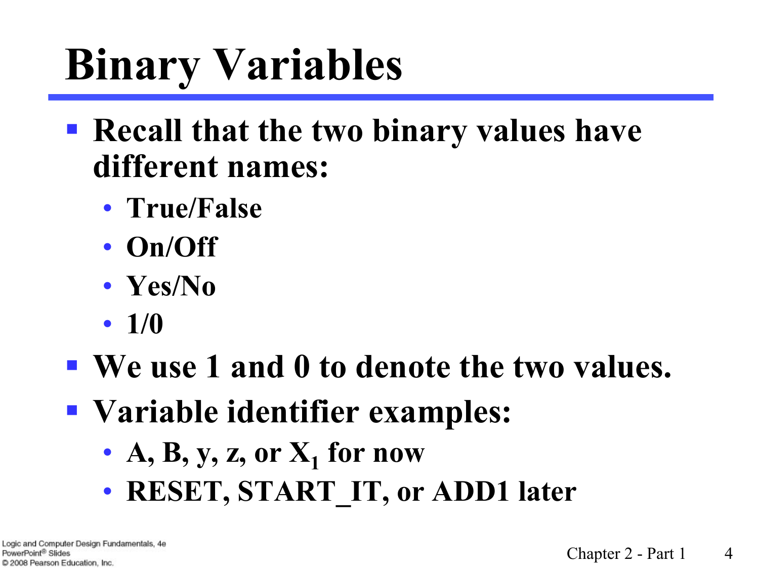# **Binary Variables**

- § **Recall that the two binary values have different names:**
	- **True/False**
	- **On/Off**
	- **Yes/No**
	- **1/0**
- We use 1 and 0 to denote the two values.
- § **Variable identifier examples:**
	- A, B, y, z, or  $X_1$  for now
	- **RESET, START\_IT, or ADD1 later**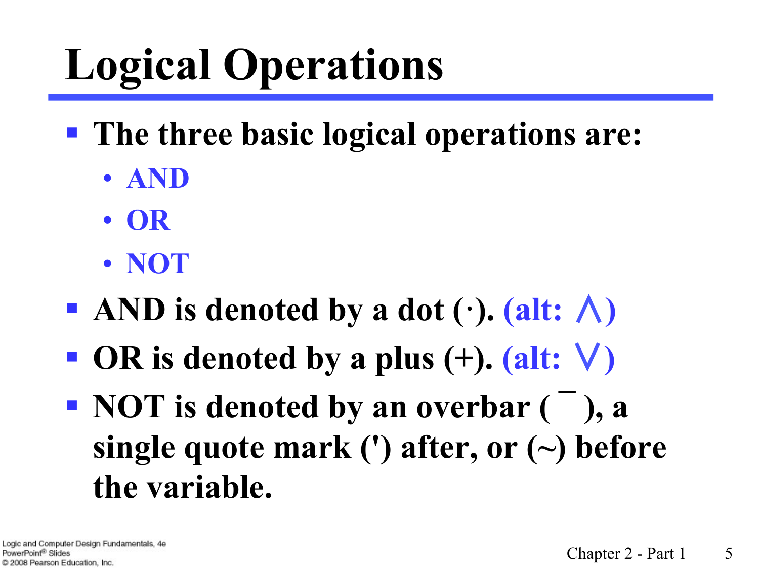# **Logical Operations**

- § **The three basic logical operations are:**
	- **AND**
	- **OR**
	- **NOT**
- AND is denoted by a dot  $(·)$ . (alt:  $\wedge$ )
- § **OR is denoted by a plus (+). (alt:** ∨**)**
- § **NOT is denoted by an overbar ( ¯ ), a single quote mark (') after, or (~) before the variable.**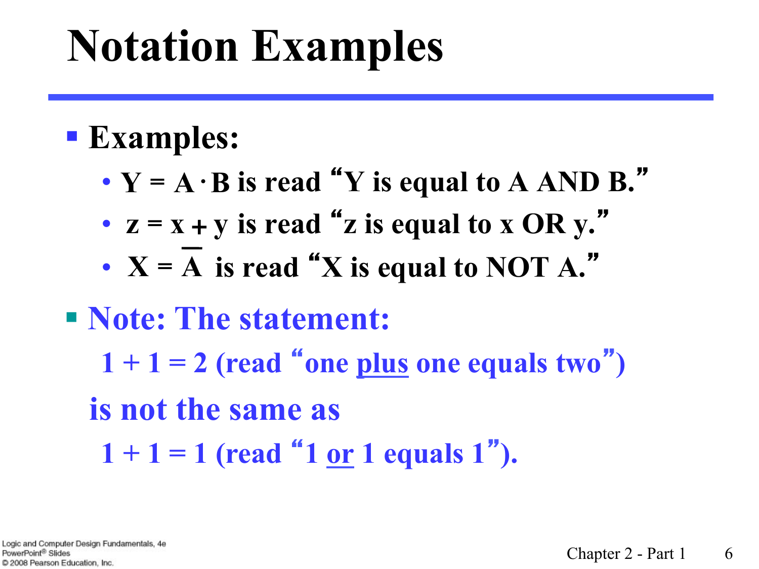# **Notation Examples**

#### § **Examples:**

- $\bullet$  **Y** =  $A \cdot B$  is read "**Y** is equal to  $A$  AND  $B$ ."
- $z = x + y$  is read "**z** is equal to  $x$  OR  $y$ ."
- $X = A$  is read "X is equal to NOT  $A$ ."

#### § **Note: The statement:**   $1 + 1 = 2$  (read "one plus one equals two")  **is not the same as**

 $1 + 1 = 1$  (read "1 <u>or</u> 1 equals 1").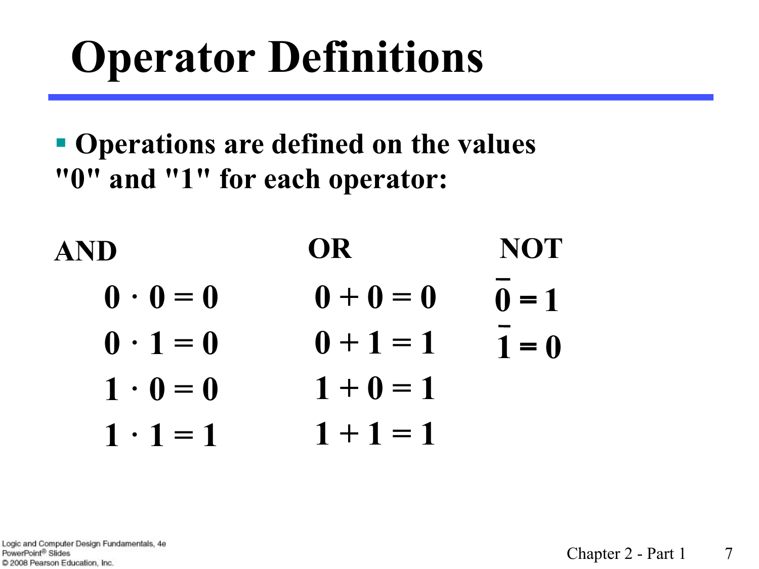# **Operator Definitions**

§ **Operations are defined on the values "0" and "1" for each operator:** 

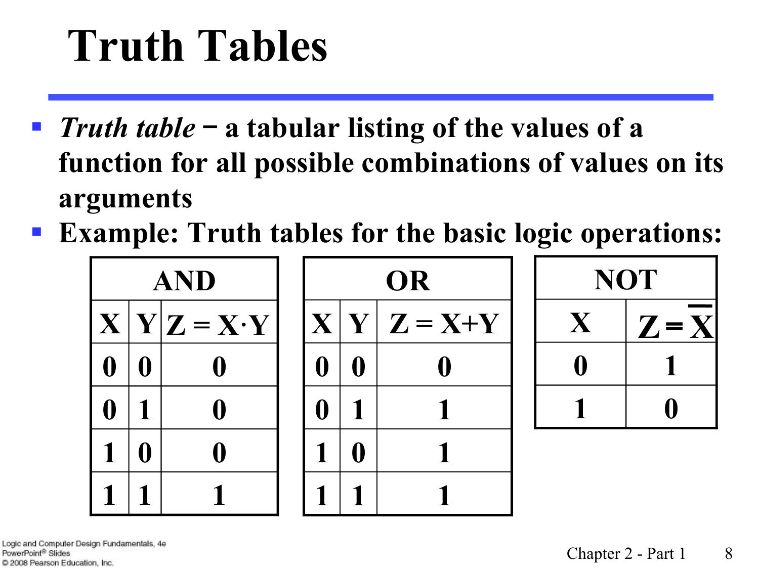# **Truth Tables**

- § *Truth table* - **a tabular listing of the values of a function for all possible combinations of values on its arguments**
- **Example: Truth tables for the basic logic operations:**



**1 0** 

 $\begin{array}{|c|c|c|c|}\n\hline\n0 & 1\n\end{array}$ 

**Z**= **X**

**NOT** 

**X**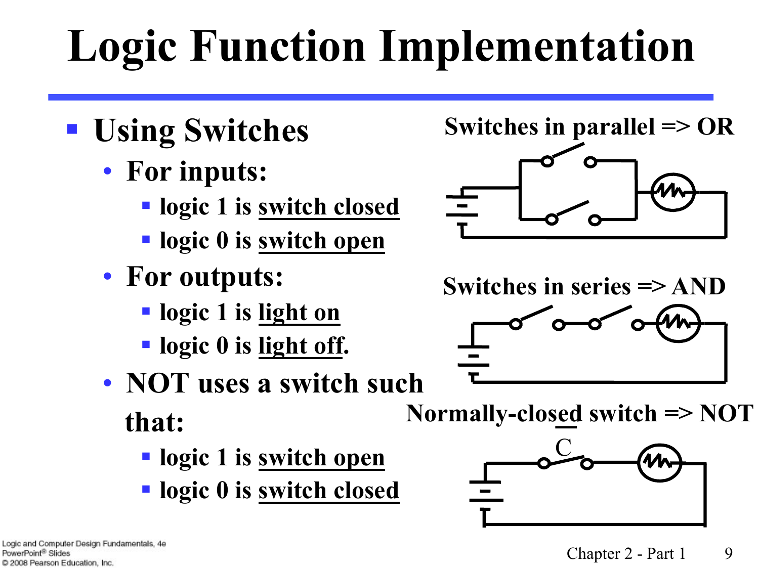# **Logic Function Implementation**

- § **Using Switches** 
	- **For inputs:** 
		- § **logic 1 is switch closed**
		- § **logic 0 is switch open**
	- **For outputs:** 
		- § **logic 1 is light on**
		- § **logic 0 is light off.**
	- **NOT uses a switch such that:** 
		- § **logic 1 is switch open**
		- § **logic 0 is switch closed**





**Switches in series => AND**



**Normally-closed switch => NOT**

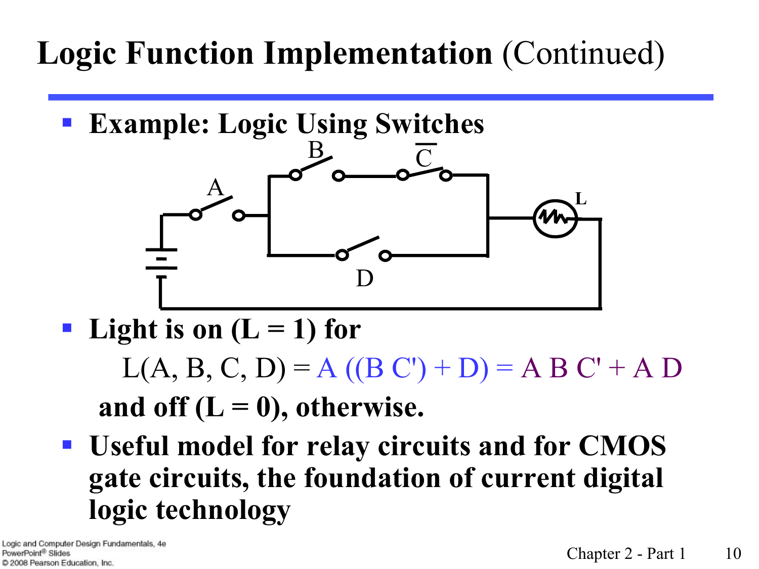#### **Logic Function Implementation** (Continued)

§ **Example: Logic Using Switches**



**•** Light is on  $(L = 1)$  for

 $L(A, B, C, D) = A ((B C') + D) = A B C' + A D$ and off  $(L = 0)$ , otherwise.

§ **Useful model for relay circuits and for CMOS gate circuits, the foundation of current digital logic technology**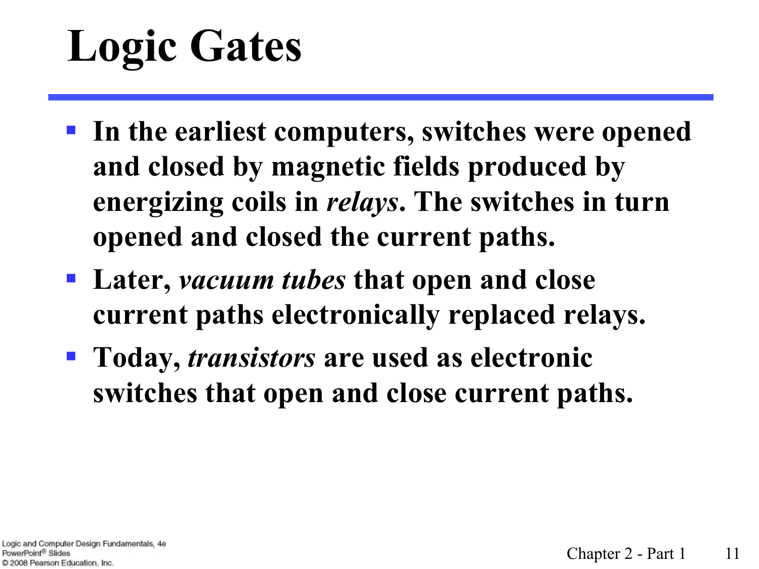# **Logic Gates**

- § **In the earliest computers, switches were opened and closed by magnetic fields produced by energizing coils in** *relays***. The switches in turn opened and closed the current paths.**
- § **Later,** *vacuum tubes* **that open and close current paths electronically replaced relays.**
- § **Today,** *transistors* **are used as electronic switches that open and close current paths.**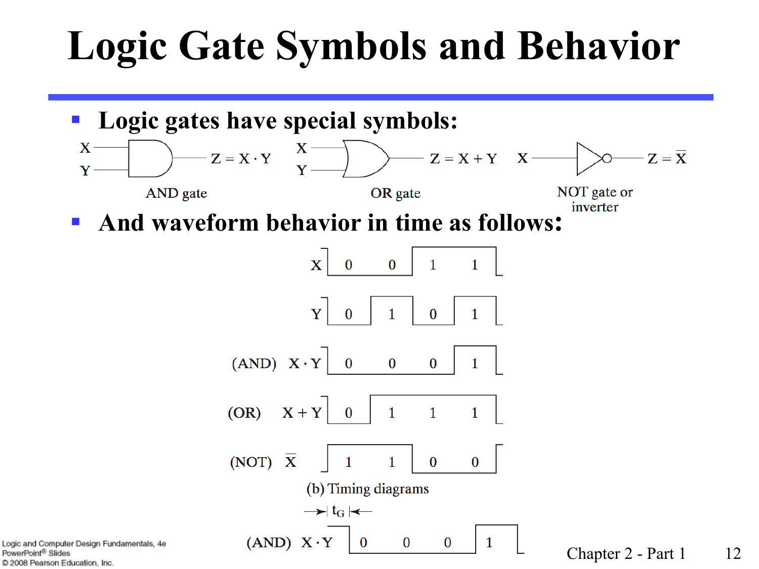#### **Logic Gate Symbols and Behavior**



PowerPoint<sup>®</sup> Slides C 2008 Pearson Education, Inc.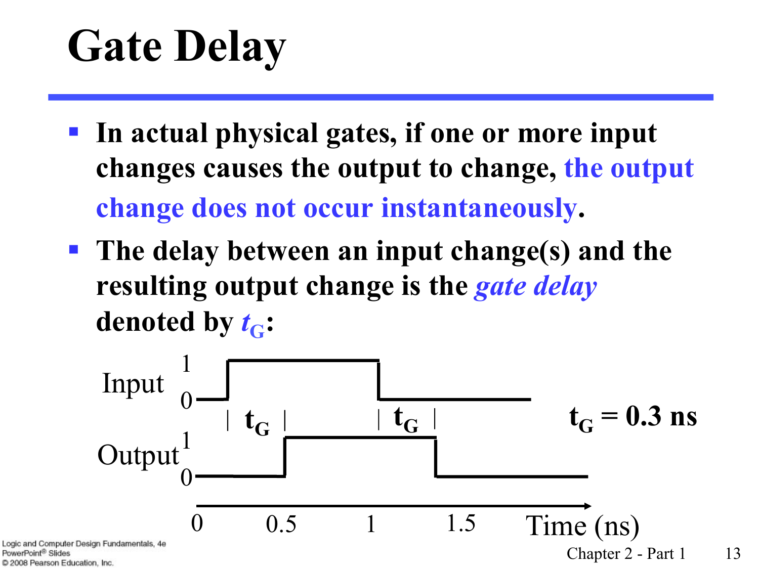# **Gate Delay**

- § **In actual physical gates, if one or more input changes causes the output to change, the output change does not occur instantaneously.**
- § **The delay between an input change(s) and the resulting output change is the** *gate delay* **denoted by**  $t_{\text{C}}$ **:**



PowerPoint<sup>®</sup> Slides C 2008 Pearson Education, Inc.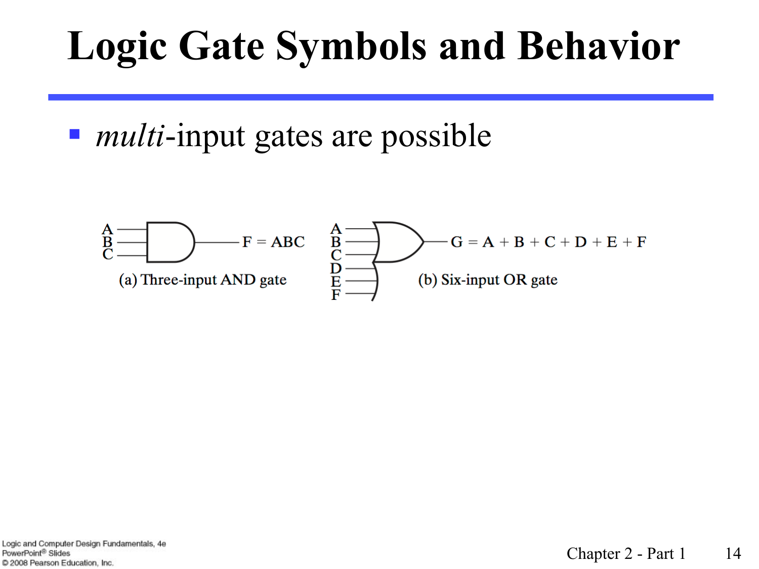#### **Logic Gate Symbols and Behavior**

■ *multi*-input gates are possible

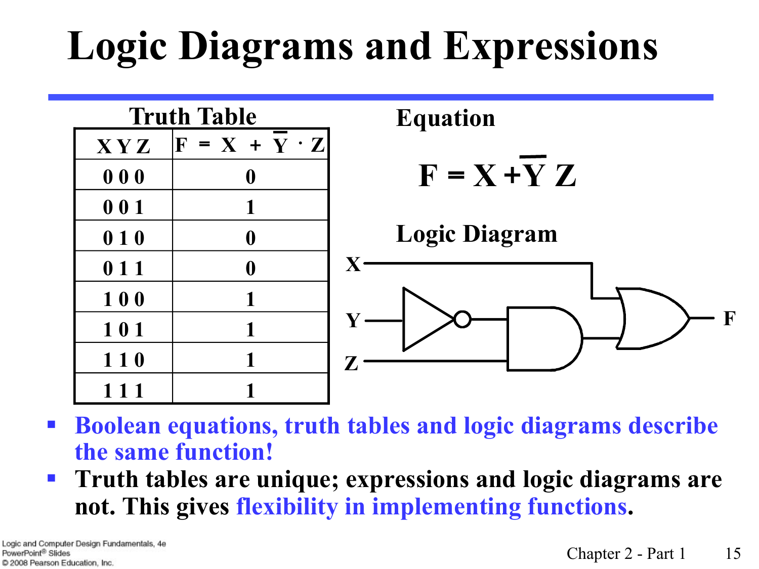## **Logic Diagrams and Expressions**



- § **Boolean equations, truth tables and logic diagrams describe the same function!**
- § **Truth tables are unique; expressions and logic diagrams are not. This gives flexibility in implementing functions.**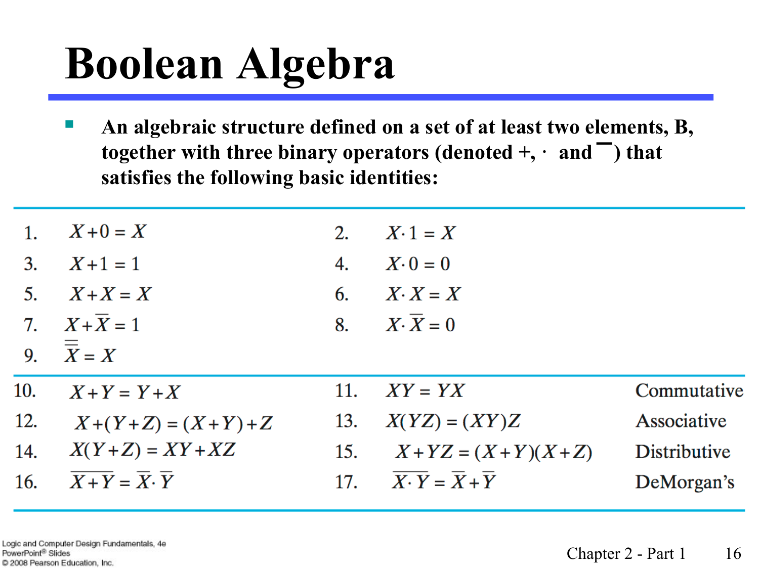# **Boolean Algebra**

§ **An algebraic structure defined on a set of at least two elements, B, together with three binary operators (denoted**  $+$ **,**  $\cdot$  **and**  $\overline{\phantom{a}}$ **) that satisfies the following basic identities:** 

| 1.  | $X+0=X$                          | 2.  | $X \cdot 1 = X$               |              |
|-----|----------------------------------|-----|-------------------------------|--------------|
| 3.  | $X+1=1$                          | 4.  | $X \cdot 0 = 0$               |              |
| 5.  | $X+X=X$                          | 6.  | $X \cdot X = X$               |              |
|     | 7. $X + \overline{X} = 1$        |     | 8. $X \cdot \overline{X} = 0$ |              |
|     | 9. $\overline{\overline{X}} = X$ |     |                               |              |
| 10. | $X+Y = Y+X$                      | 11. | $XY = YX$                     | Commutative  |
| 12. | $X+(Y+Z)=(X+Y)+Z$                | 13. | $X(YZ) = (XY)Z$               | Associative  |
| 14. | $X(Y+Z) = XY+XZ$                 | 15. | $X+YZ = (X+Y)(X+Z)$           | Distributive |
| 16. | $X+Y=X\cdot\overline{Y}$         | 17. | $X \cdot Y = X + Y$           | DeMorgan's   |

Logic and Computer Design Fundamentals, 4e PowerPoint® Slides C 2008 Pearson Education, Inc.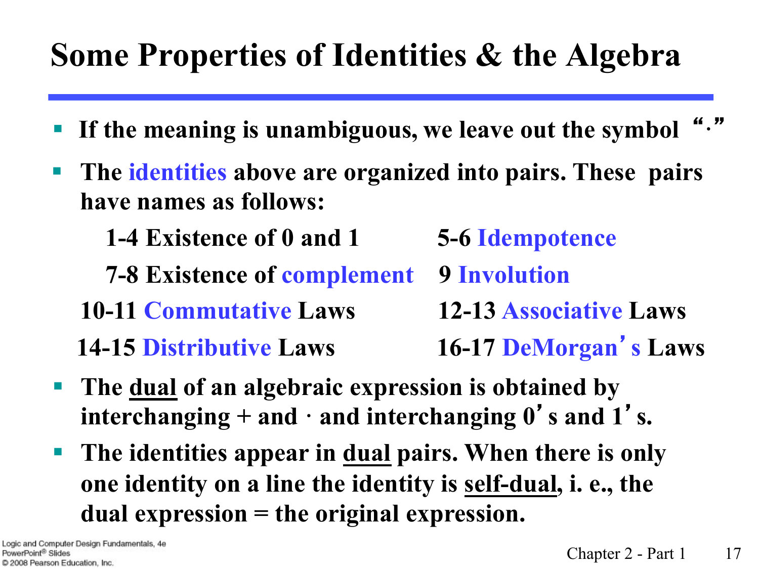#### **Some Properties of Identities & the Algebra**

- § **If the meaning is unambiguous, we leave out the symbol** "**·**"
- The identities above are organized into pairs. These pairs **have names as follows:** 
	- **1-4 Existence of 0 and 1 5-6 Idempotence**
	- **7-8 Existence of complement** 9 Involution
	- **10-11 Commutative Laws 12-13 Associative Laws 14-15 Distributive Laws** 16-17 DeMorgan's Laws
- § **The dual of an algebraic expression is obtained by interchanging + and · and interchanging 0**'**s and 1**' **s.**
- The identities appear in <u>dual</u> pairs. When there is only **one identity on a line the identity is self-dual, i. e., the dual expression = the original expression.**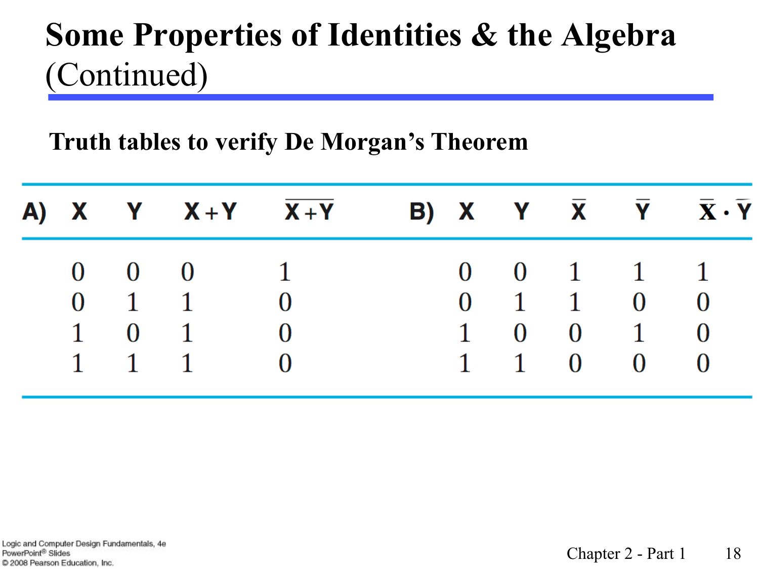#### **Some Properties of Identities & the Algebra**  (Continued)

**Truth tables to verify De Morgan's Theorem**

|  | A) X Y $X+Y$ $X+Y$           |  |  |                                     | B) X Y $\overline{X}$ $\overline{Y}$ $\overline{X} \cdot \overline{Y}$ |
|--|------------------------------|--|--|-------------------------------------|------------------------------------------------------------------------|
|  | $0 \quad 0 \quad 0 \qquad 1$ |  |  | $0 \t 0 \t 1 \t 1 \t 1$             |                                                                        |
|  | $0 \quad 1 \quad 1 \quad 0$  |  |  | $0 \quad 1 \quad 1 \quad 0 \quad 0$ |                                                                        |
|  | $1 \quad 0 \quad 1 \quad 0$  |  |  | $1 \t 0 \t 0 \t 1 \t 0$             |                                                                        |
|  | $1 \quad 1 \quad 1 \quad 0$  |  |  | 1 1 0 0 0                           |                                                                        |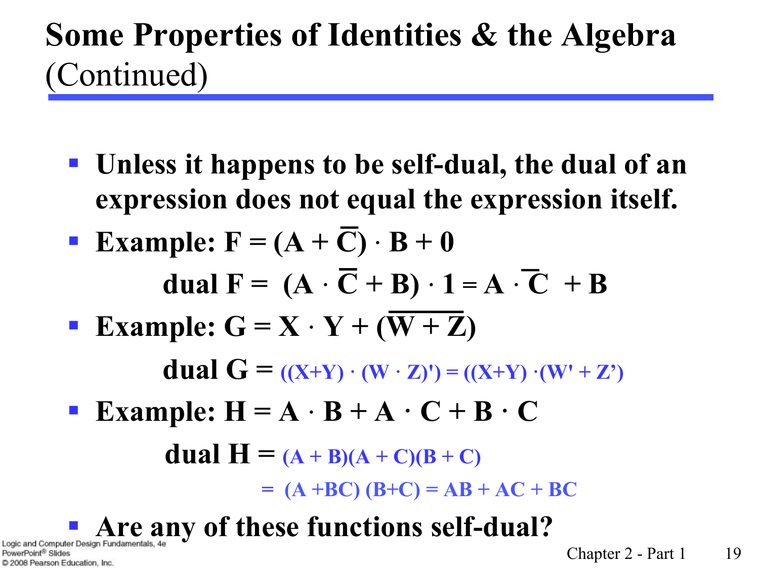#### **Some Properties of Identities & the Algebra**  (Continued)

- § **Unless it happens to be self-dual, the dual of an expression does not equal the expression itself.**
- **•** Example:  $F = (A + \overline{C}) \cdot B + 0$ **dual F** =  $(A \cdot \overline{C} + B) \cdot 1 = A \cdot \overline{C} + B$
- **•** Example:  $G = X \cdot Y + (W + Z)$  **dual G** =  $((X+Y) \cdot (W \cdot Z)') = ((X+Y) \cdot (W' + Z')')$
- **•** Example:  $H = A \cdot B + A \cdot C + B \cdot C$ **dual H =**  $(A + B)(A + C)(B + C)$

 $= (A + BC) (B + C) = AB + AC + BC$ 

**Expand Computer Design Fundamentals, 4e** v of these fun**ctions self-dual?** 

PowerPoint® Slides C 2008 Pearson Education, Inc.

Chapter  $2$  - Part  $1$  19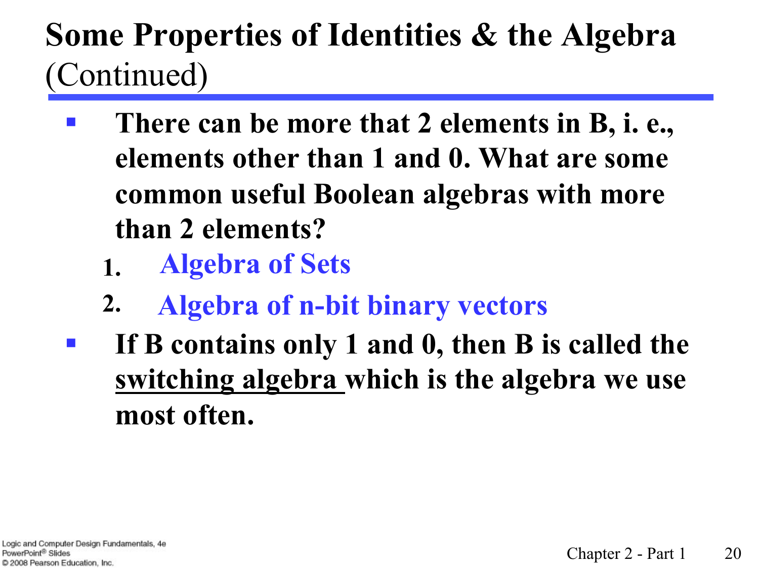#### **Some Properties of Identities & the Algebra**  (Continued)

- § **There can be more that 2 elements in B, i. e., elements other than 1 and 0. What are some common useful Boolean algebras with more than 2 elements?** 
	- **1. Algebra of Sets**
	- **2. Algebra of n-bit binary vectors**
- § **If B contains only 1 and 0, then B is called the switching algebra which is the algebra we use most often.**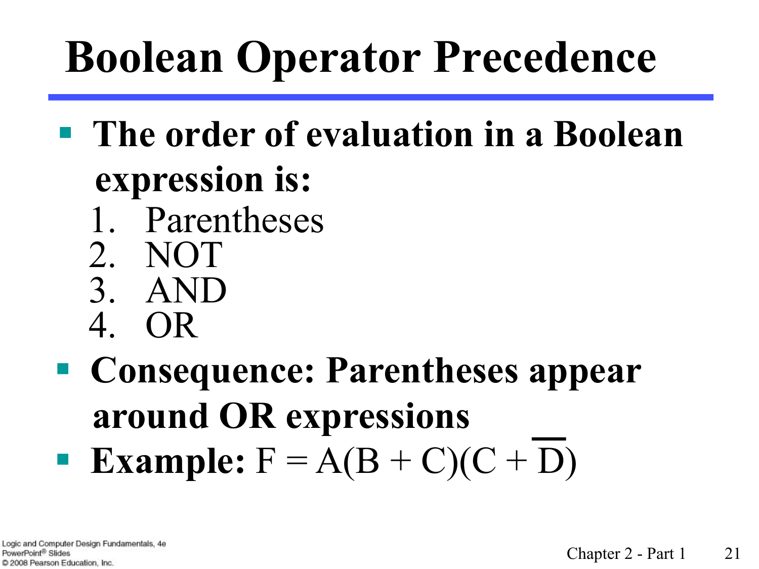# **Boolean Operator Precedence**

- § **The order of evaluation in a Boolean expression is:** 1. Parentheses 2. NOT 3. AND
	- 4. OR
- § **Consequence: Parentheses appear around OR expressions Example:**  $F = A(B + C)(C + D)$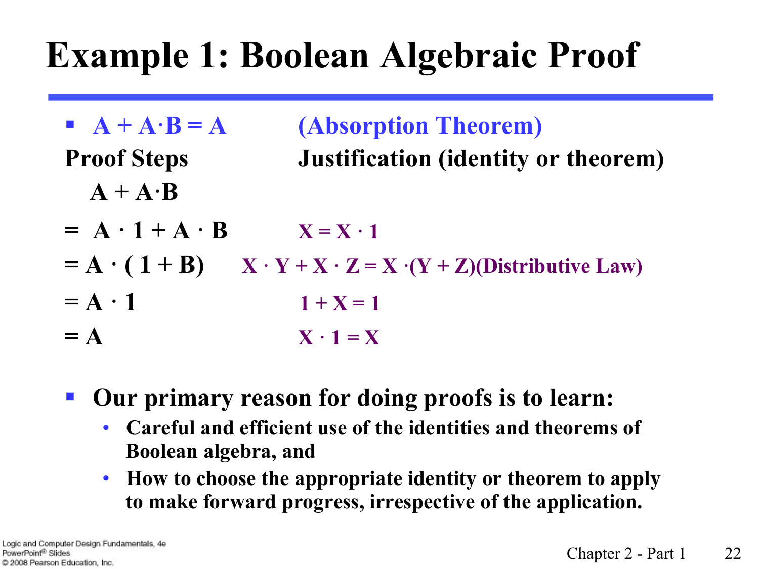#### **Example 1: Boolean Algebraic Proof**

- $\bf{A} + A \cdot B = A$  (Absorption Theorem) **Proof Steps Justification (identity or theorem)**   $A + A \cdot B$
- $=$  **A**  $\cdot$  **1** + **A**  $\cdot$  **B**  $X = X \cdot 1$
- $= A \cdot (1 + B)$   $X \cdot Y + X \cdot Z = X \cdot (Y + Z)$ (Distributive Law)
- $= A \cdot 1$  1 + X = 1
- $= A$   $X \cdot 1 = X$
- § **Our primary reason for doing proofs is to learn:** 
	- **Careful and efficient use of the identities and theorems of Boolean algebra, and**
	- **How to choose the appropriate identity or theorem to apply to make forward progress, irrespective of the application.**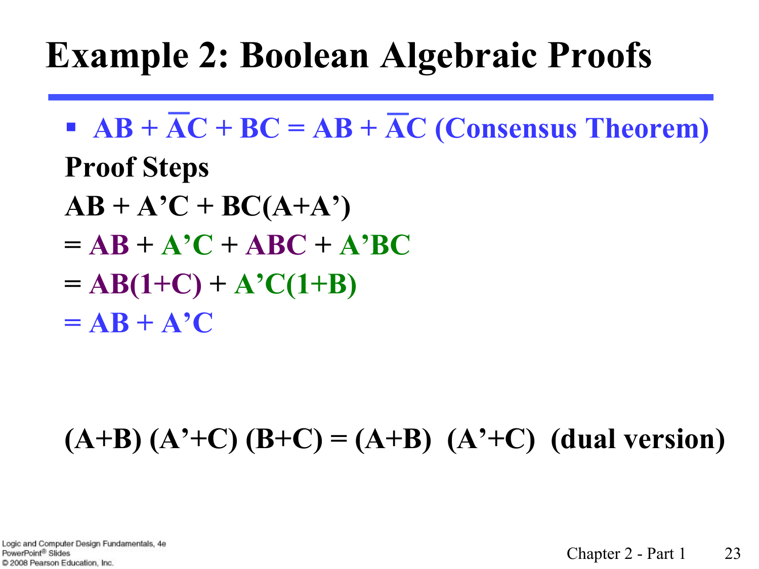#### **Example 2: Boolean Algebraic Proofs**

- $\overline{AB} + \overline{AC} + BC = AB + \overline{AC}$  (Consensus Theorem) **Proof Steps**
- $AB + A'C + BC(A+A')$
- $= AB + A'C + ABC + A'BC$
- $= AB(1+C) + A'C(1+B)$
- $= AB + A^{\prime}C$

#### **(A+B) (A'+C) (B+C) = (A+B) (A'+C) (dual version)**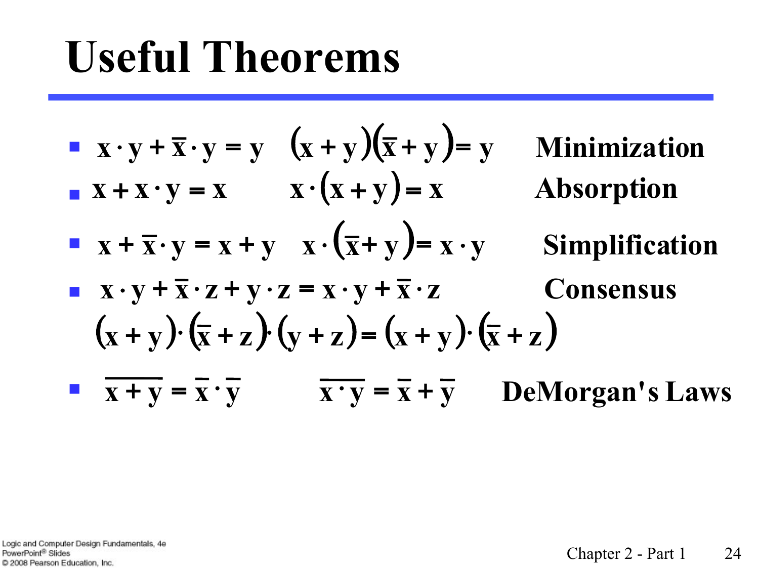## **Useful Theorems**

■ 
$$
x \cdot y + \overline{x} \cdot y = y
$$
  $(x + y)(\overline{x} + y) = y$  Minimization  
\n■  $x + x \cdot y = x$   $x \cdot (x + y) = x$  **Absorption**  
\n■  $x + \overline{x} \cdot y = x + y$   $x \cdot (\overline{x} + y) = x \cdot y$  Simplification  
\n■  $x \cdot y + \overline{x} \cdot z + y \cdot z = x \cdot y + \overline{x} \cdot z$  **Consensus**  
\n $(x + y) \cdot (\overline{x} + z) \cdot (y + z) = (x + y) \cdot (\overline{x} + z)$   
\n■  $\overline{x + y} = \overline{x} \cdot \overline{y}$   $\overline{x} \cdot \overline{y} = \overline{x} + \overline{y}$  **DeMorgan's Laws**

Logic and Computer Design Fundamentals, 4e PowerPoint® Slides C 2008 Pearson Education, Inc.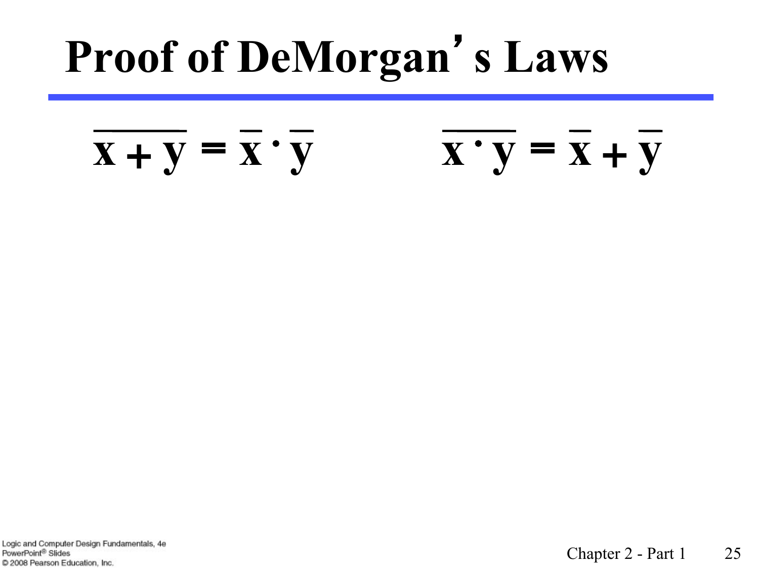# **Proof of DeMorgan**'**s Laws**

#### $X + Y = X \cdot Y$   $X \cdot Y = X + Y$

Logic and Computer Design Fundamentals, 4e PowerPoint<sup>®</sup> Slides C 2008 Pearson Education, Inc.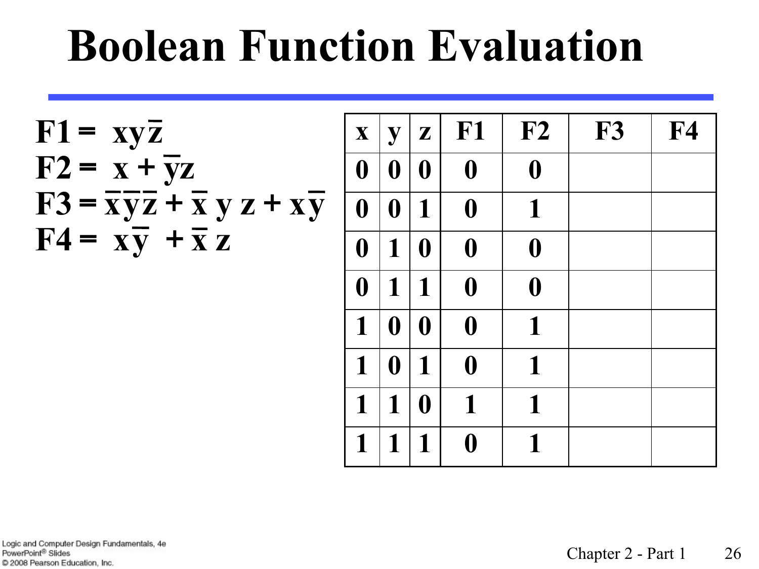## **Boolean Function Evaluation**

$$
F1 = xy\overline{z}
$$
  
\n
$$
F2 = x + \overline{y}z
$$
  
\n
$$
F3 = \overline{xy}z + \overline{x} y z + x\overline{y}
$$
  
\n
$$
F4 = x\overline{y} + \overline{x} z
$$

| $\mathbf{X}$     | y                | $\mathbf{Z}$     | F <sub>1</sub>   | F2               | <b>F3</b> | ${\bf F4}$ |
|------------------|------------------|------------------|------------------|------------------|-----------|------------|
| $\boldsymbol{0}$ | $\boldsymbol{0}$ | $\boldsymbol{0}$ | $\boldsymbol{0}$ | $\boldsymbol{0}$ |           |            |
| $\boldsymbol{0}$ | $\boldsymbol{0}$ | $\mathbf 1$      | $\boldsymbol{0}$ | $\mathbf{1}$     |           |            |
| $\boldsymbol{0}$ | $\mathbf{1}$     | $\boldsymbol{0}$ | $\boldsymbol{0}$ | $\boldsymbol{0}$ |           |            |
| $\boldsymbol{0}$ | 1                | 1                | $\boldsymbol{0}$ | $\boldsymbol{0}$ |           |            |
| $\mathbf{1}$     | $\boldsymbol{0}$ | $\boldsymbol{0}$ | $\boldsymbol{0}$ | 1                |           |            |
| $\mathbf{1}$     | $\boldsymbol{0}$ | 1                | $\boldsymbol{0}$ | 1                |           |            |
| $\mathbf{1}$     | $\mathbf{1}$     | $\boldsymbol{0}$ | $\mathbf{1}$     | 1                |           |            |
| 1                | 1                | 1                | $\boldsymbol{0}$ | $\mathbf 1$      |           |            |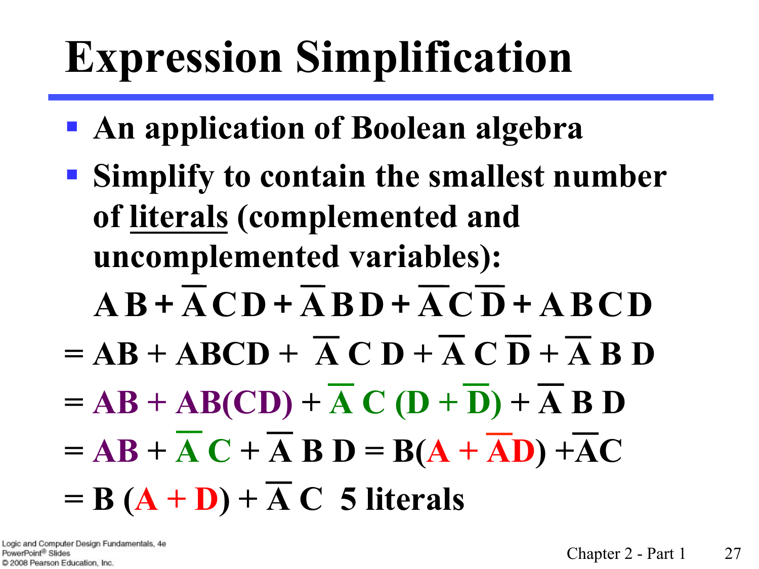# **Expression Simplification**

- § **An application of Boolean algebra**
- § **Simplify to contain the smallest number of literals (complemented and uncomplemented variables):** 
	- $\overline{AB} + \overline{A} \overline{C} \overline{D} + \overline{A} \overline{B} \overline{D} + \overline{A} \overline{C} \overline{D} + \overline{A} \overline{B} \overline{C} \overline{D}$
- $= AB + ABCD + \overline{A} \overline{C} D + \overline{A} \overline{C} \overline{D} + \overline{A} \overline{B} D$
- $= AB + AB(CD) + AC(D + D) + ACBD$
- $= AB + AC + \overline{A}B D = B(A + \overline{AD}) + \overline{AC}$

 $= B (A + D) + \overline{A} C$  5 literals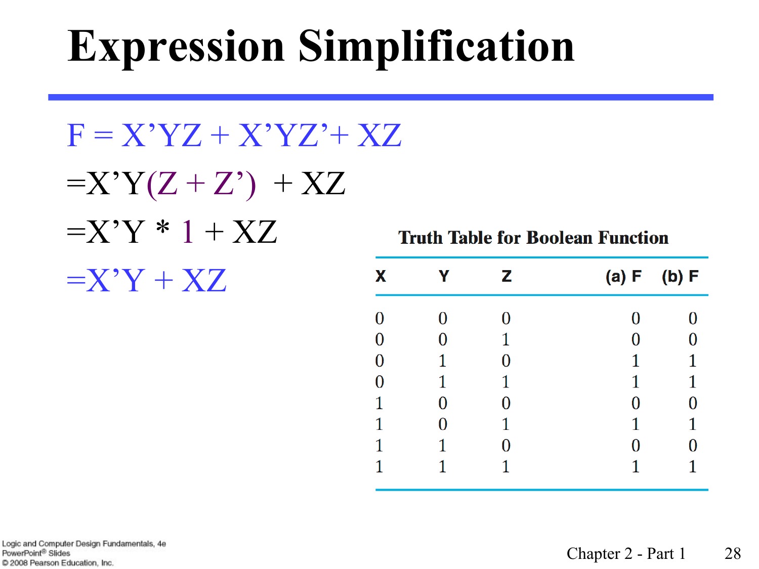# **Expression Simplification**

 $F = X'YZ + X'YZ' + XZ$  $=X'Y(Z+Z') + XZ$  $=X'Y*1+XZ$  $=X'Y+XZ$ 

**Truth Table for Boolean Function** 

| X                |   | Ζ | (a) F | (b) F |
|------------------|---|---|-------|-------|
| $\boldsymbol{0}$ |   | O | 0     |       |
| $\bf{0}$         | 0 | 1 | 0     |       |
| $\bf{0}$         | 1 | 0 | 1     |       |
| $\bf{0}$         | 1 | 1 | 1     |       |
| 1                | 0 | 0 | 0     |       |
| 1                | 0 | 1 | 1     |       |
| 1                | 1 | 0 | 0     |       |
|                  |   |   |       |       |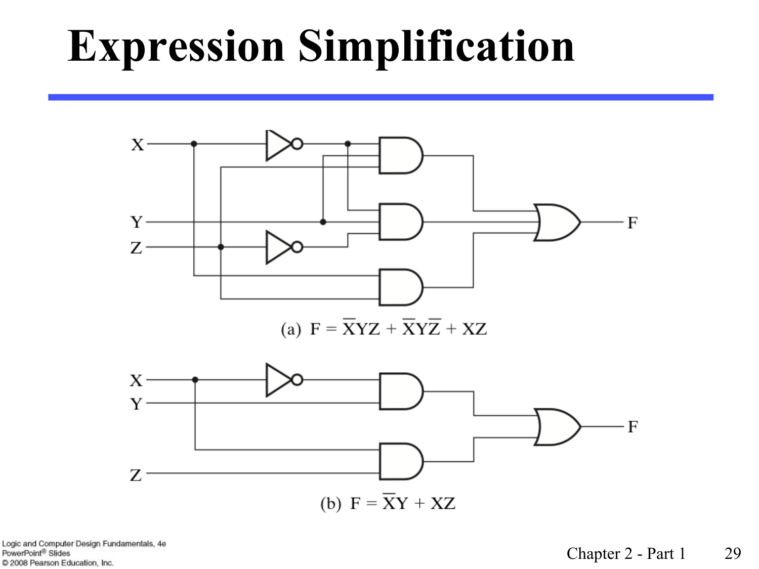## **Expression Simplification**



Logic and Computer Design Fundamentals, 4e PowerPoint® Slides C 2008 Pearson Education, Inc.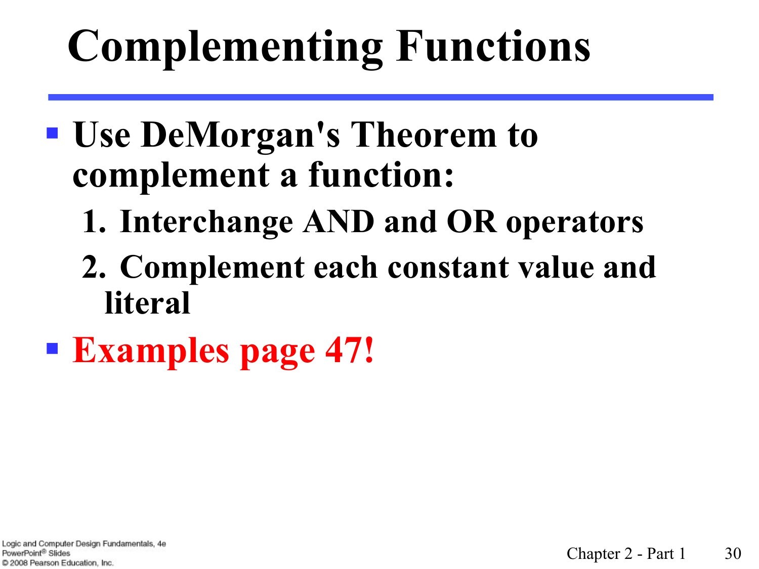# **Complementing Functions**

#### § **Use DeMorgan's Theorem to complement a function:**

- **1. Interchange AND and OR operators**
- **2. Complement each constant value and literal**
- § **Examples page 47!**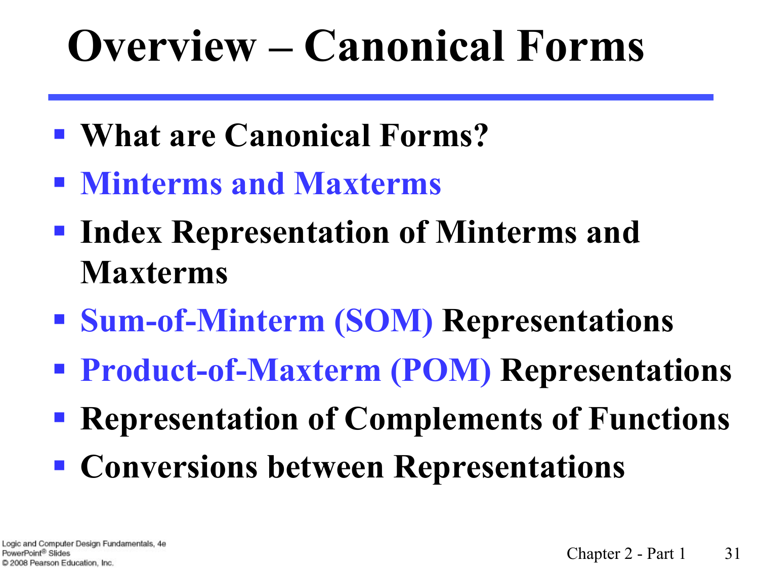# **Overview – Canonical Forms**

- § **What are Canonical Forms?**
- § **Minterms and Maxterms**
- § **Index Representation of Minterms and Maxterms**
- § **Sum-of-Minterm (SOM) Representations**
- § **Product-of-Maxterm (POM) Representations**
- § **Representation of Complements of Functions**
- § **Conversions between Representations**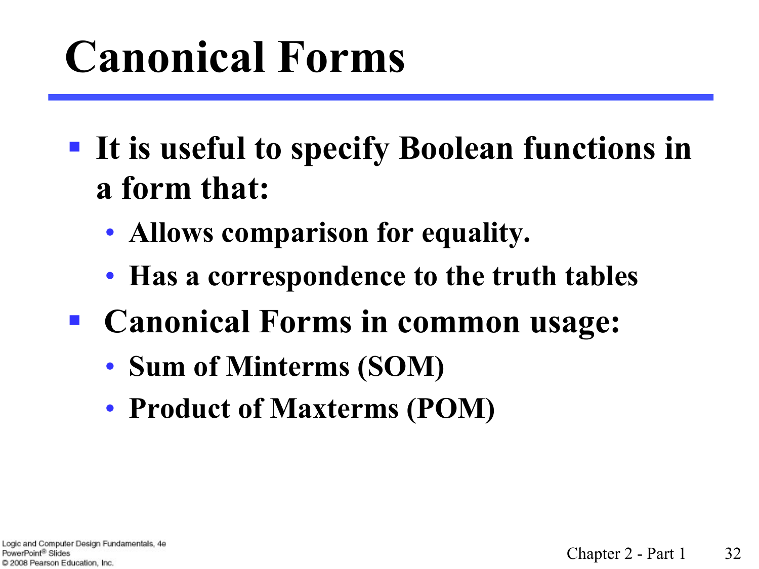# **Canonical Forms**

- § **It is useful to specify Boolean functions in a form that:** 
	- **Allows comparison for equality.**
	- **Has a correspondence to the truth tables**
- Canonical Forms in common usage:
	- **Sum of Minterms (SOM)**
	- **Product of Maxterms (POM)**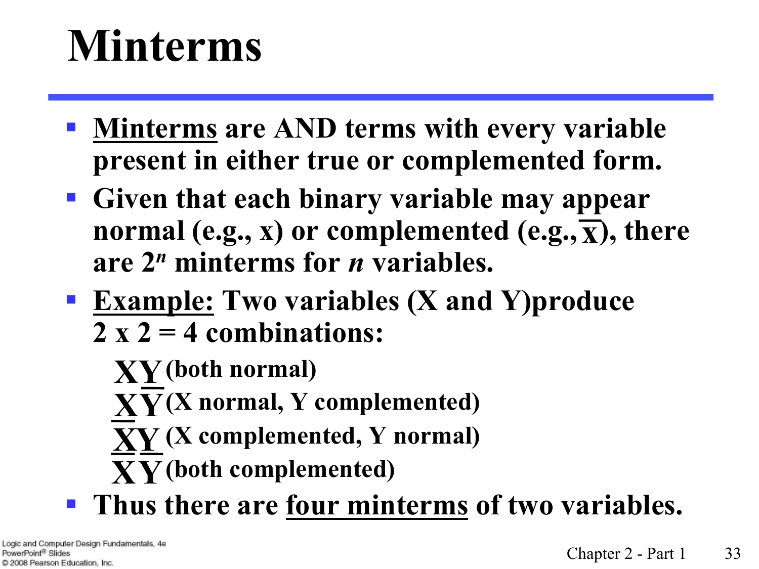## **Minterms**

- § **Minterms are AND terms with every variable present in either true or complemented form.**
- § **Given that each binary variable may appear**  normal (e.g., **x**) or complemented (e.g.,  $\overline{\mathbf{x}}$ ), there **are 2***<sup>n</sup>* **minterms for** *n* **variables.**
- § **Example: Two variables (X and Y)produce 2 x 2 = 4 combinations:**
	- **(both normal) XY**
	- **(X normal, Y complemented) XY**
	- **(X complemented, Y normal) XY**
	- **(both complemented) XY**
- § **Thus there are four minterms of two variables.**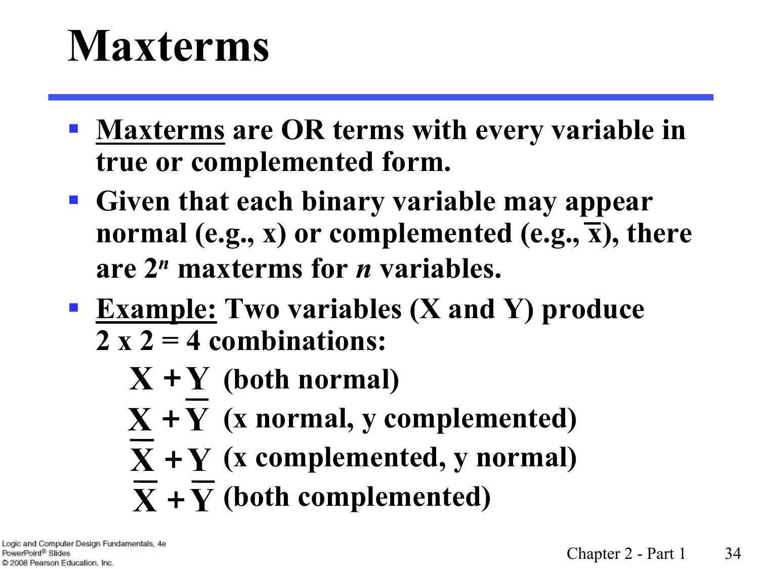## **Maxterms**

- § **Maxterms are OR terms with every variable in true or complemented form.**
- § **Given that each binary variable may appear normal (e.g., x) or complemented (e.g., x), there are 2***<sup>n</sup>* **maxterms for** *n* **variables.**
- § **Example: Two variables (X and Y) produce 2 x 2 = 4 combinations:**
	- **(both normal) X** +**Y**
	- $X + Y$  (x normal, y complemented)
	- $X + Y$  (x complemented, y normal)
	- $\overline{\mathbf{X}} + \overline{\mathbf{Y}}$  (both complemented)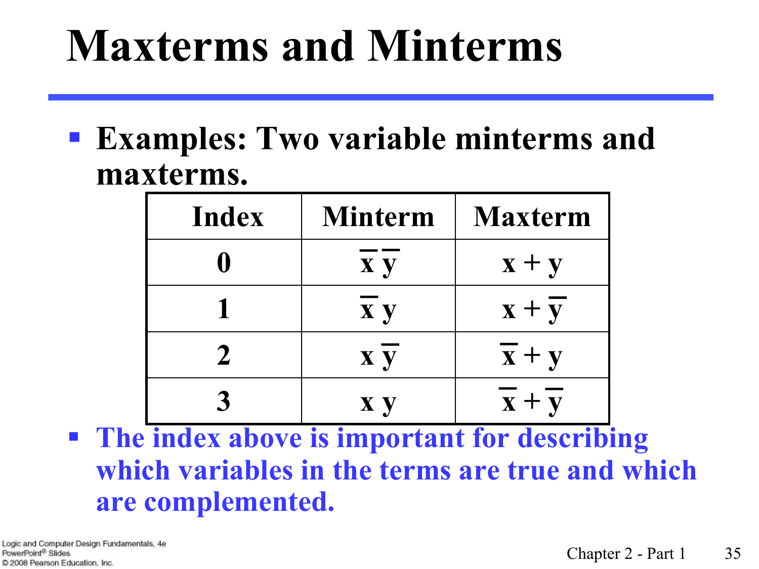## **Maxterms and Minterms**

§ **Examples: Two variable minterms and maxterms.** 

| Index         | <b>Minterm</b> | <b>Maxterm</b>            |
|---------------|----------------|---------------------------|
|               | <b>x</b> y     | $\mathbf{x} + \mathbf{y}$ |
|               | <b>x</b> y     | $x + y$                   |
| $\mathcal{L}$ | <b>x</b> y     | $\mathbf{x} + \mathbf{y}$ |
|               | <b>X</b> y     | $x + y$                   |

§ **The index above is important for describing which variables in the terms are true and which are complemented.**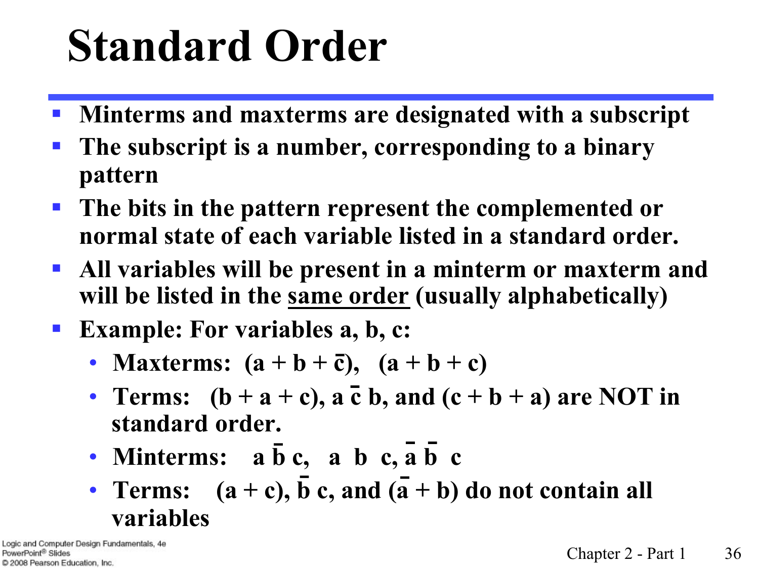# **Standard Order**

- § **Minterms and maxterms are designated with a subscript**
- § **The subscript is a number, corresponding to a binary pattern**
- § **The bits in the pattern represent the complemented or normal state of each variable listed in a standard order.**
- § **All variables will be present in a minterm or maxterm and will be listed in the same order (usually alphabetically)**
- **Example: For variables a, b, c:** 
	- **Maxterms:**  $(a + b + \bar{c})$ ,  $(a + b + c)$
	- Terms:  $(b + a + c)$ ,  $\overline{a}$   $\overline{c}$   $\overline{b}$ , and  $(c + b + a)$  are NOT in **standard order.**
	- **Minterms:**  $a\bar{b}c$ ,  $a\bar{b}c$ ,  $a\bar{b}c$
	- **Terms:**  $(a + c)$ , b c, and  $(\overline{a} + b)$  do not contain all **variables**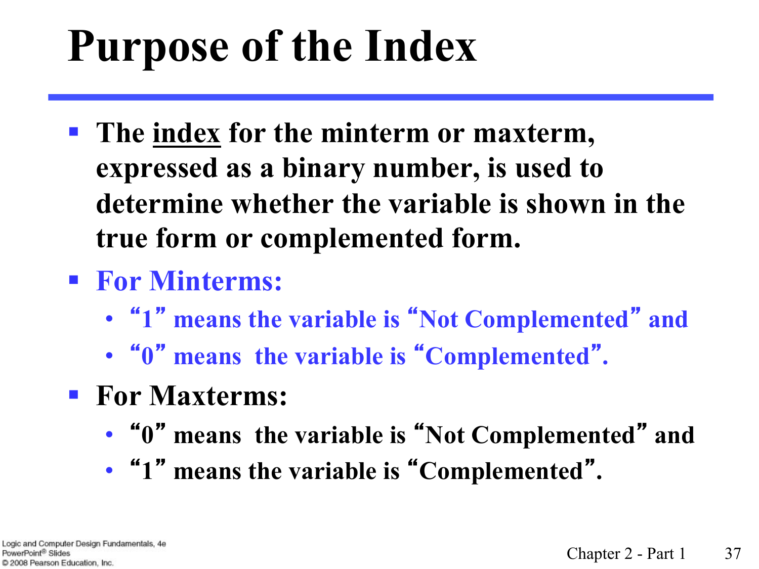# **Purpose of the Index**

- § **The index for the minterm or maxterm, expressed as a binary number, is used to determine whether the variable is shown in the true form or complemented form.**
- § **For Minterms:**
	- "**1**" **means the variable is** "**Not Complemented**" **and**
	- "**0**" **means the variable is** "**Complemented**"**.**
- § **For Maxterms:** 
	- "**0**" **means the variable is** "**Not Complemented**" **and**
	- "**1**" **means the variable is** "**Complemented**"**.**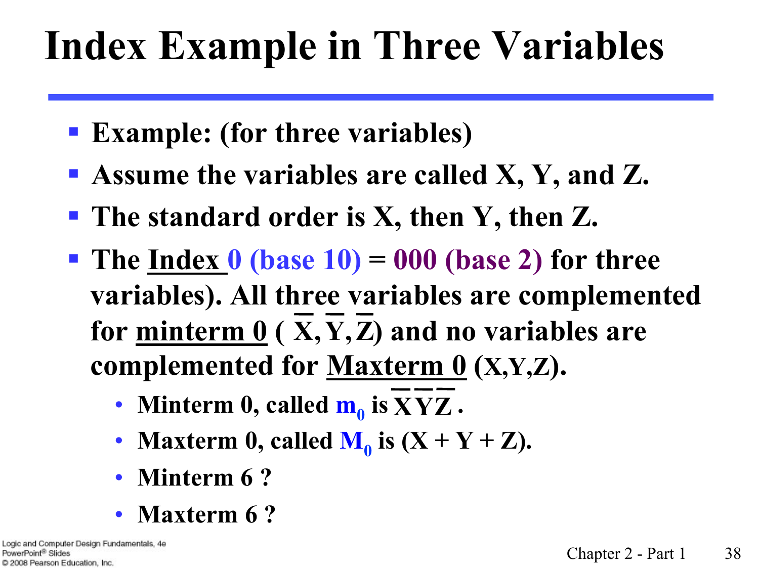#### **Index Example in Three Variables**

- § **Example: (for three variables)**
- § **Assume the variables are called X, Y, and Z.**
- The standard order is X, then Y, then Z.
- § **The Index 0 (base 10) = 000 (base 2) for three variables). All three variables are complemented**  for  $\frac{\text{minterm 0}}{N(X, Y, Z)}$  and no variables are complemented for <u>Maxterm 0</u> (X,Y,Z).
	- Minterm 0, called  $m_0$  is  $XYZ$ .
	- **Maxterm 0, called**  $M_0$  **is**  $(X + Y + Z)$ **.**
	- **Minterm 6 ?**
	- **Maxterm 6 ?**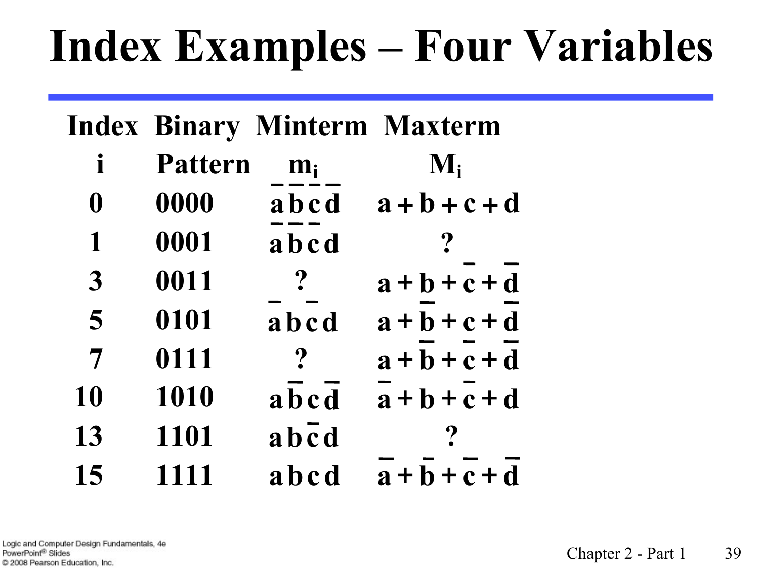## **Index Examples – Four Variables**

|                  |                |                         | <b>Index Binary Minterm Maxterm</b> |
|------------------|----------------|-------------------------|-------------------------------------|
| $\mathbf i$      | <b>Pattern</b> | $m_i$                   | $\mathbf{M}_{\mathbf{i}}$           |
| $\boldsymbol{0}$ | 0000           | abcd                    | $a + b + c + d$                     |
| $\mathbf{1}$     | 0001           | abcd                    |                                     |
| $\overline{3}$   | 0011           | $\boldsymbol{?}$        | $a+b+c+d$                           |
| 5                | 0101           | abcd                    | $a+b+c+d$                           |
| $\overline{7}$   | 0111           | $\boldsymbol{P}$        | $a+b+c+d$                           |
| 10               | 1010           | abcd                    | $a+b+c+d$                           |
| 13               | 1101           | $a\,\overline{b\,c\,d}$ |                                     |
| 15               | 1111           | abcd                    | $a+b+c+d$                           |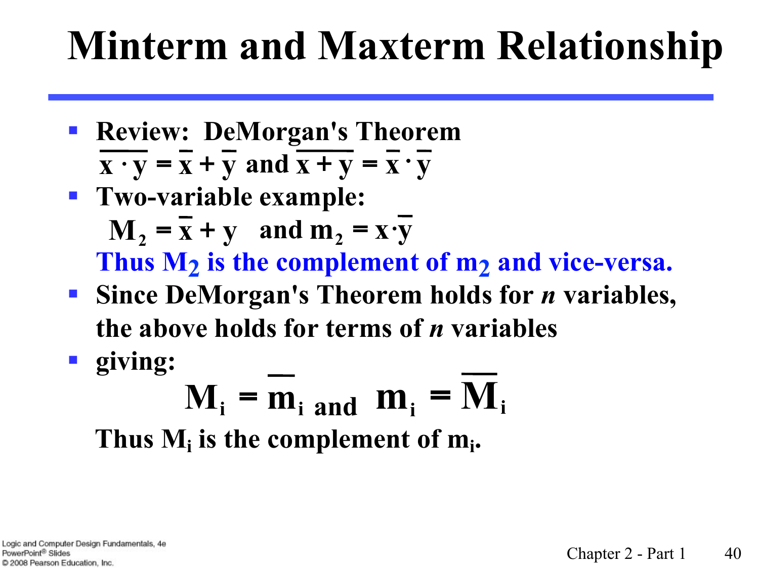#### **Minterm and Maxterm Relationship**

- § **Review: DeMorgan's Theorem**  $\overline{\mathbf{x} \cdot \mathbf{y}} = \overline{\mathbf{x}} + \overline{\mathbf{y}}$  and  $\overline{\mathbf{x} + \mathbf{y}} = \overline{\mathbf{x}} \cdot \overline{\mathbf{y}}$
- § **Two-variable example:**   $M_2 = \overline{x} + \overline{y}$  and  $m_2 = \overline{x} \cdot \overline{y}$ Thus  $M_2$  is the complement of  $m_2$  and vice-versa.
- Since DeMorgan's Theorem holds for *n* variables, **the above holds for terms of** *n* **variables**
- § **giving:**

#### $M_i = \overline{m_i}$  and  $m_i = M_i$ Thus  $M_i$  is the complement of  $m_i$ .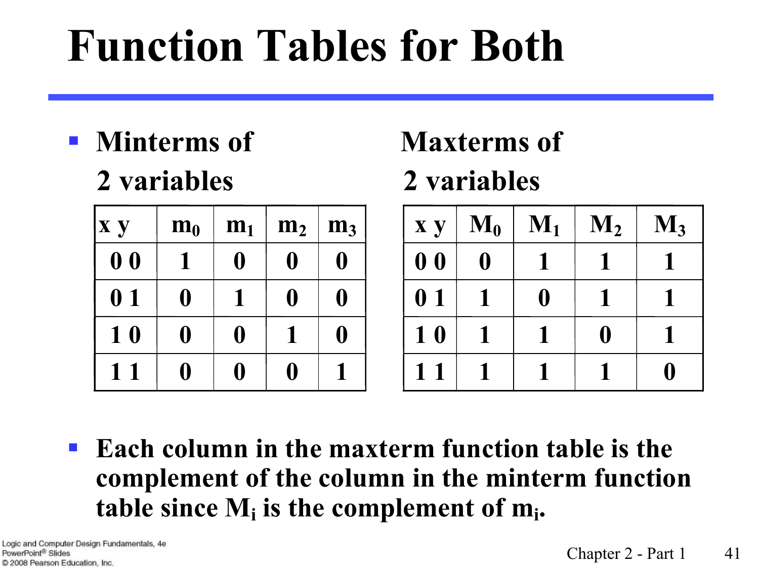# **Function Tables for Both**

§ **Minterms of Maxterms of 2 variables 2 variables** 

| <b>x</b> y     | $m_0$     | m <sub>1</sub> | m <sub>2</sub> | m <sub>3</sub>          |
|----------------|-----------|----------------|----------------|-------------------------|
| 0 <sub>0</sub> |           | $\bf{0}$       | I)             | 0                       |
| 0 <sub>1</sub> | 0         |                | 0              | $\overline{\mathbf{0}}$ |
| 10             | $\bullet$ | 0              |                | $\mathbf 0$             |
|                |           |                |                |                         |

| <b>x</b> y     | $\mathbf{M}_0$ | $\mathbf{M}_1$ | $\mathbf{M}_2$ | $\mathbf{M}_3$ |
|----------------|----------------|----------------|----------------|----------------|
| 0 <sub>0</sub> | 0              |                |                |                |
| 0 <sub>1</sub> |                | $\mathbf{0}$   |                |                |
| 10             |                |                | 0              |                |
| 11             |                |                |                |                |

§ **Each column in the maxterm function table is the complement of the column in the minterm function**  table since  $M_i$  is the complement of  $m_i$ .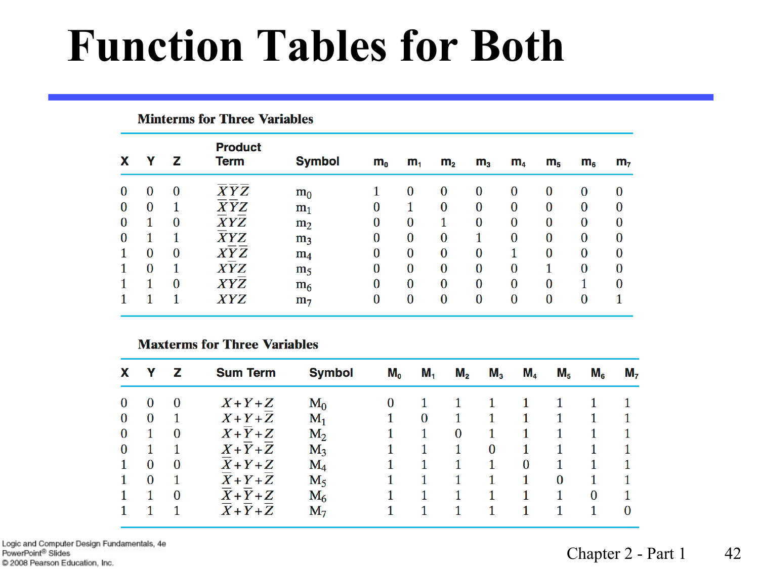## **Function Tables for Both**

| X        | Y        | z        | <b>Product</b><br><b>Term</b> | <b>Symbol</b>  | $m_{o}$  | m <sub>1</sub> | m <sub>2</sub> | m <sub>3</sub> | m <sub>4</sub> | m <sub>5</sub> | $m_{6}$  | m <sub>7</sub> |
|----------|----------|----------|-------------------------------|----------------|----------|----------------|----------------|----------------|----------------|----------------|----------|----------------|
| $\bf{0}$ | $\bf{0}$ | $\bf{0}$ | XYZ                           | $m_0$          |          | $\bf{0}$       | 0              | $\bf{0}$       | $\bf{0}$       | $\bf{0}$       | $\bf{0}$ | $\bf{0}$       |
| $\bf{0}$ | $\bf{0}$ | 1        | XYZ                           | $m_1$          | $\bf{0}$ |                | $\bf{0}$       | $\bf{0}$       | $\bf{0}$       | $\bf{0}$       | $\bf{0}$ | 0              |
| $\bf{0}$ | 1        | $\bf{0}$ | XYZ                           | m <sub>2</sub> | $\bf{0}$ | $\bf{0}$       | 1              | $\bf{0}$       | $\bf{0}$       | $\bf{0}$       | $\bf{0}$ | 0              |
| $\bf{0}$ | 1        | 1        | XYZ                           | m <sub>3</sub> | $\bf{0}$ | $\bf{0}$       | $\bf{0}$       |                | $\bf{0}$       | $\bf{0}$       | $\bf{0}$ | 0              |
|          | $\bf{0}$ | $\bf{0}$ | XYZ                           | m <sub>4</sub> | $\bf{0}$ | $\bf{0}$       | $\bf{0}$       | $\bf{0}$       | 1              | $\bf{0}$       | $\bf{0}$ | $\bf{0}$       |
|          | $\bf{0}$ | 1        | XYZ                           | m <sub>5</sub> | $\bf{0}$ | $\bf{0}$       | $\bf{0}$       | $\bf{0}$       | $\bf{0}$       | 1              | $\bf{0}$ | $\bf{0}$       |
|          | 1        | $\bf{0}$ | XYZ                           | m <sub>6</sub> | $\bf{0}$ | $\bf{0}$       | $\bf{0}$       | $\bf{0}$       | $\bf{0}$       | $\bf{0}$       |          | $\bf{0}$       |
|          |          |          | XYZ                           | m <sub>7</sub> | $\bf{0}$ | $\bf{0}$       | $\bf{0}$       | $\bf{0}$       | $\bf{0}$       | $\bf{0}$       | $\bf{0}$ |                |

#### **Maxterms for Three Variables**

**Minterms for Three Variables** 

| X            | Y        | z        | <b>Sum Term</b> | <b>Symbol</b> | $M_{o}$ | $M_{1}$  | $M_{2}$  | M <sub>3</sub> | M <sub>4</sub> | $M_{5}$  | $M_{6}$  | $M_{7}$  |
|--------------|----------|----------|-----------------|---------------|---------|----------|----------|----------------|----------------|----------|----------|----------|
| $\bf{0}$     | $\Omega$ | $\bf{0}$ | $X+Y+Z$         | $M_0$         |         |          |          |                |                |          |          |          |
| $\bf{0}$     | $\bf{0}$ |          | $X+Y+Z$         | $M_1$         |         | $\bf{0}$ |          |                |                |          |          |          |
| $\bf{0}$     |          | $\bf{0}$ | $X+Y+Z$         | $M_2$         |         |          | $\bf{0}$ |                |                |          |          |          |
| $\bf{0}$     |          |          | $X+Y+Z$         | $M_3$         |         |          |          | $\bf{0}$       |                |          |          |          |
| $\mathbf{1}$ | $\bf{0}$ | $\bf{0}$ | $X+Y+Z$         | $\rm M_4$     |         |          |          |                | $\bf{0}$       |          |          |          |
| $\mathbf{1}$ | $\bf{0}$ |          | $X+Y+Z$         | $M_5$         |         |          |          |                |                | $\bf{0}$ |          |          |
|              |          | $\bf{0}$ | $X+Y+Z$         | $M_6$         |         |          |          |                |                |          | $\bf{0}$ |          |
|              |          |          | $X+Y+Z$         | $M_7$         |         |          |          |                |                |          | 1        | $\Omega$ |

Logic and Computer Design Fundamentals, 4e PowerPoint<sup>®</sup> Slides C 2008 Pearson Education, Inc.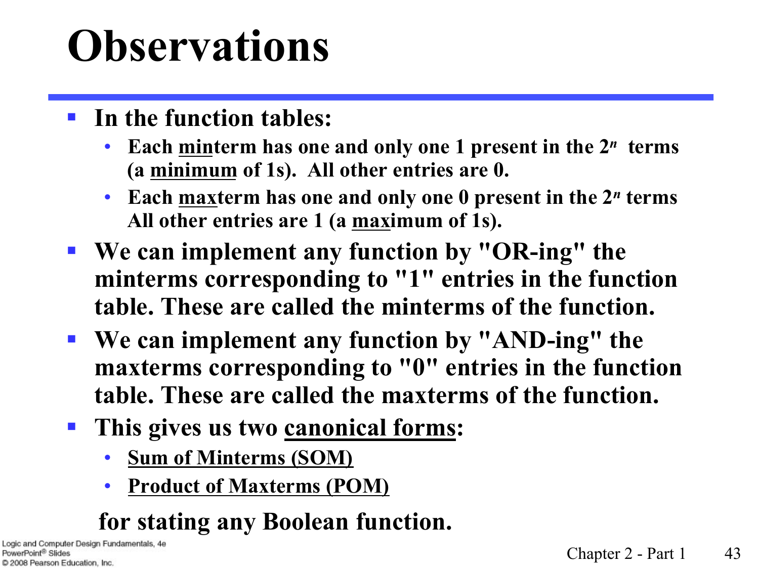## **Observations**

- § **In the function tables:**
	- **Each minterm has one and only one 1 present in the 2***n* **terms (a minimum of 1s). All other entries are 0.**
	- **Each maxterm has one and only one 0 present in the 2***n* **terms All other entries are 1 (a maximum of 1s).**
- § **We can implement any function by "OR-ing" the minterms corresponding to "1" entries in the function table. These are called the minterms of the function.**
- § **We can implement any function by "AND-ing" the maxterms corresponding to "0" entries in the function table. These are called the maxterms of the function.**
- This gives us two canonical forms:
	- **Sum of Minterms (SOM)**
	- **Product of Maxterms (POM)**

#### **for stating any Boolean function.**

Logic and Computer Design Fundamentals, 4e PowerPoint<sup>®</sup> Slides C 2008 Pearson Education, Inc.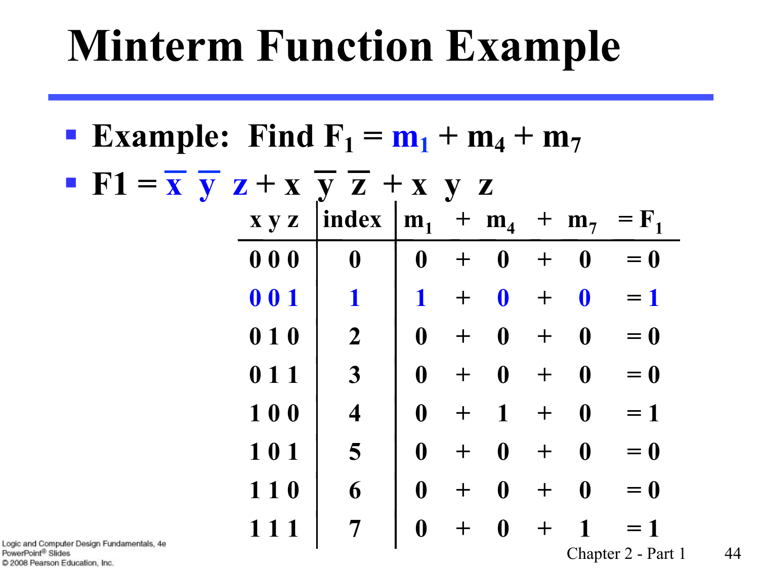## **Minterm Function Example**

| <b>Example:</b> Find $F_1 = m_1 + m_4 + m_7$                                                                                 |                      |  |  |  |
|------------------------------------------------------------------------------------------------------------------------------|----------------------|--|--|--|
| $\blacksquare$ F1 = $\overline{x}$ $\overline{y}$ z + x y z + x y z                                                          |                      |  |  |  |
| $xyz$  index   $m_1$ + $m_4$ + $m_7$                                                                                         | $=$ $\mathbf{F}_{1}$ |  |  |  |
| 000<br>$\boldsymbol{0}$<br>$\boldsymbol{0}$<br>$\bf{0}$<br>$\boldsymbol{0}$<br>$+$<br>$+$                                    | $= 0$                |  |  |  |
| 001<br>$\mathbf 0$<br>$\overline{\mathbf{0}}$<br>$\mathbf 1$<br>$+$<br>$\mathbf 1$<br>$+$                                    | $=1$                 |  |  |  |
| $\overline{2}$<br>$\mathbf{0}$<br>010<br>$\boldsymbol{0}$<br>$\bf{0}$<br>$+$<br>$+$                                          | $= 0$                |  |  |  |
| $\overline{\mathbf{3}}$<br>$\boldsymbol{0}$<br>$\bf{0}$<br>$\boldsymbol{0}$<br>011<br>$+$<br>$+$                             | $= 0$                |  |  |  |
| 100<br>$\overline{\mathbf{4}}$<br>$\boldsymbol{0}$<br>$\mathbf{1}$<br>$\overline{\mathbf{0}}$<br>$+$<br>$\pm$                | $=1$                 |  |  |  |
| 101<br>5<br>$\boldsymbol{0}$<br>$\boldsymbol{0}$<br>$\bf{0}$<br>$+$<br>$+$                                                   | $= 0$                |  |  |  |
| 6<br>$\boldsymbol{0}$<br>110<br>$\boldsymbol{0}$<br>$\bf{0}$<br>$+$<br>$\pm$                                                 | $= 0$                |  |  |  |
| $\overline{7}$<br>$\boldsymbol{0}$<br>$\boldsymbol{0}$<br>1<br>111<br>$\bm{+}$<br>$\bm{+}$<br>nputer Design Fundamentals, 4e | $=1$                 |  |  |  |

Logic and Con PowerPoint® Slides C 2008 Pearson Education, Inc.

Chapter 2 - Part 1 44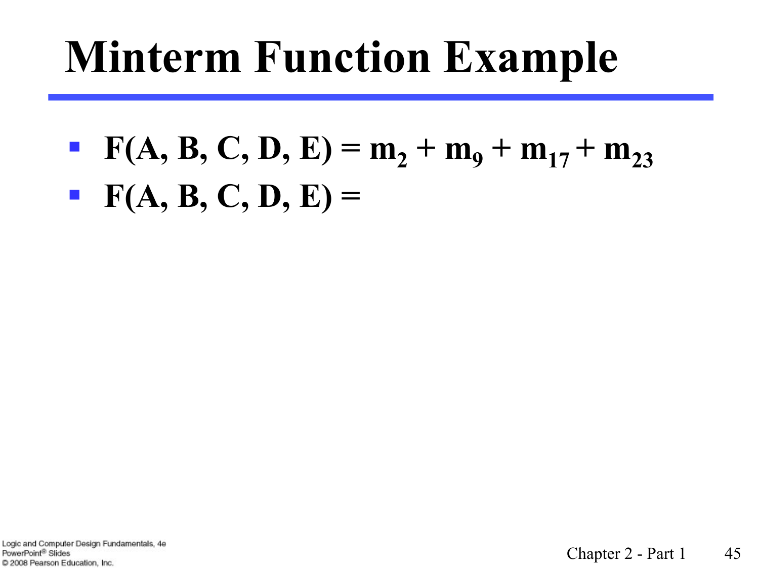## **Minterm Function Example**

•  $F(A, B, C, D, E) = m_2 + m_9 + m_{17} + m_{23}$  $\textbf{F}(A, B, C, D, E) =$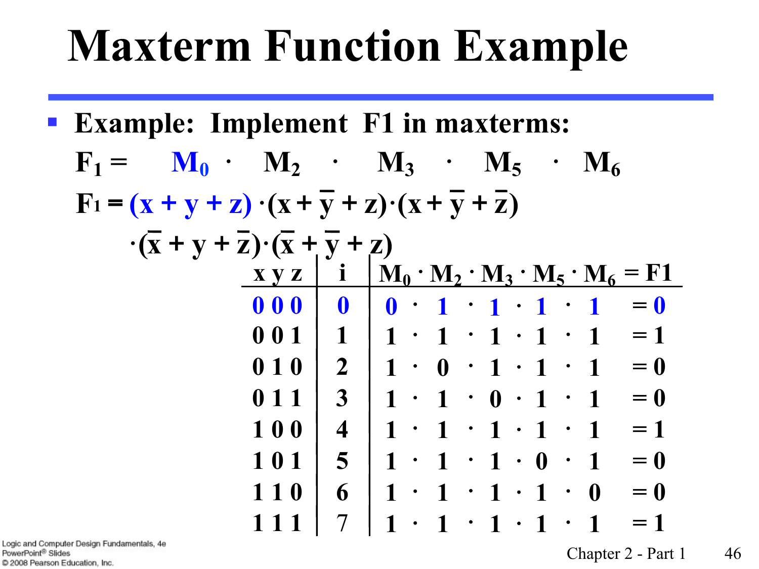## **Maxterm Function Example**

| <b>Example: Implement F1 in maxterms:</b>                                                |                         |                                                                                                                                                             |
|------------------------------------------------------------------------------------------|-------------------------|-------------------------------------------------------------------------------------------------------------------------------------------------------------|
| $F_1 =$                                                                                  |                         | $M_0 \cdot M_2 \cdot M_3 \cdot M_5 \cdot M_6$                                                                                                               |
| $F_1 = (x + y + z) \cdot (x + \overline{y} + z) \cdot (x + \overline{y} + \overline{z})$ |                         |                                                                                                                                                             |
| $\cdot(\overline{x} + y + \overline{z}) \cdot (\overline{x} + \overline{y} + z)$         |                         |                                                                                                                                                             |
|                                                                                          |                         | $\mathbf{X} \mathbf{y} \mathbf{z}$   i   $\mathbf{M}_0 \cdot \mathbf{M}_2 \cdot \mathbf{M}_3 \cdot \mathbf{M}_5 \cdot \mathbf{M}_6 = \mathbf{F} \mathbf{1}$ |
| 000                                                                                      | $\mathbf{0}$            | $= 0$<br>$0 \cdot 1 \cdot 1 \cdot 1 \cdot 1$                                                                                                                |
| 00111                                                                                    |                         | $1 \cdot 1 \cdot 1 \cdot 1 \cdot 1 = 1$                                                                                                                     |
| 010                                                                                      |                         | $2 \mid 1 \cdot 0 \cdot 1 \cdot 1 \cdot 1$<br>$= 0$                                                                                                         |
| $\mathbf{0}$ 1 1                                                                         | 3 <sup>1</sup>          | $= 0$<br>$1 \cdot 1 \cdot 0 \cdot 1 \cdot 1$                                                                                                                |
| 100                                                                                      | $\overline{\mathbf{4}}$ | $1 \cdot 1 \cdot 1 \cdot 1 \cdot 1$<br>$= 1$                                                                                                                |
| 101                                                                                      | 5 <sup>1</sup>          | $1 \cdot 1 \cdot 1 \cdot 0 \cdot 1$<br>$= 0$                                                                                                                |
| 110                                                                                      | 6                       | $1 \cdot 1 \cdot 1 \cdot 1 \cdot 0$<br>$= 0$                                                                                                                |
|                                                                                          | $7\overline{ }$         | $1 \cdot 1 \cdot 1 \cdot 1 \cdot 1$<br>$= 1$                                                                                                                |

Logic and Computer Design Fundamentals, 4e PowerPoint<sup>®</sup> Slides C 2008 Pearson Education, Inc.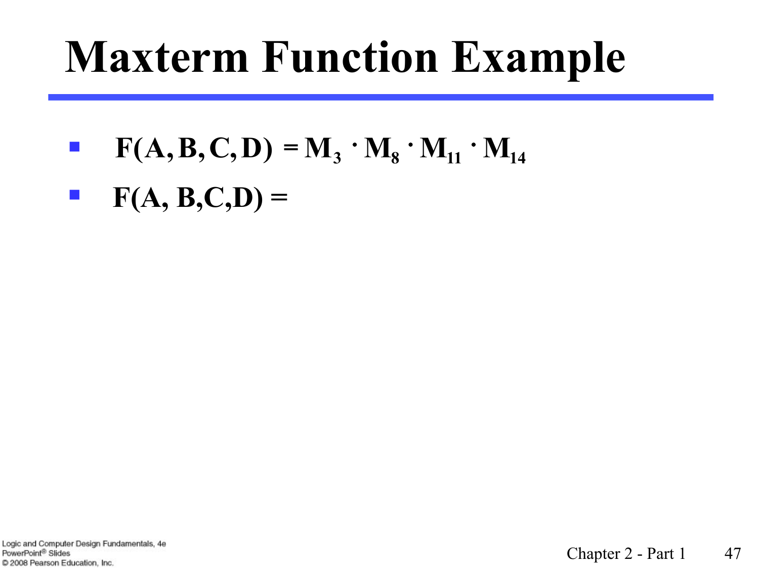## **Maxterm Function Example**

- §  $F(A, B, C, D) = M_3 \cdot M_8 \cdot M_{11} \cdot M_{14}$
- $\blacksquare$  **F(A, B,C,D) =**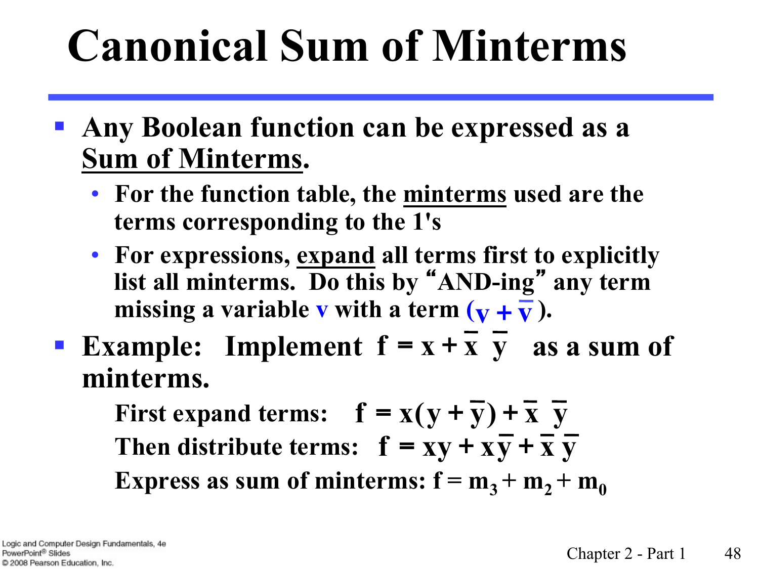# **Canonical Sum of Minterms**

- § **Any Boolean function can be expressed as a Sum of Minterms.** 
	- **For the function table, the minterms used are the terms corresponding to the 1's**
	- **For expressions, expand all terms first to explicitly list all minterms. Do this by** "**AND-ing**" **any term**  missing a variable **v** with a term  $(\mathbf{v} + \overline{\mathbf{v}})$ .
- **Example:** Implement  $f = x + \overline{x} + \overline{y}$  as a sum of **minterms.**

**First expand terms:**  $f = x(y + \overline{y}) + \overline{x}$   $\overline{y}$ Then distribute terms:  $f = xy + x\overline{y} + \overline{x} \overline{y}$ **Express as sum of minterms:**  $f = m_3 + m_2 + m_0$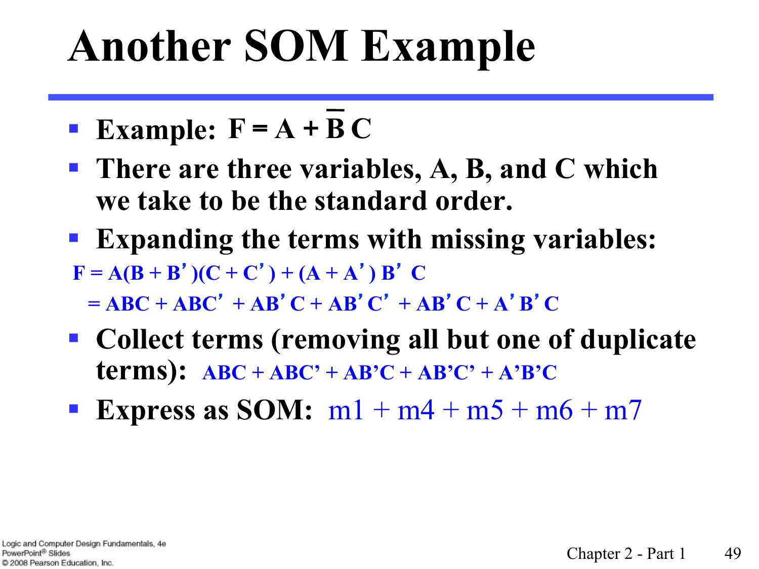# **Another SOM Example**

- $\blacksquare$  Example:  $F = A + B C$
- There are three variables, A, B, and C which **we take to be the standard order.**
- § **Expanding the terms with missing variables:**   $F = A(B + B') (C + C') + (A + A') B' C$  $= ABC + ABC' + AB'C + AB'C + AB'C' + AB'C + A'B'C$
- Collect terms (removing all but one of duplicate **terms):**  $ABC + ABC' + AB'C + AB'C' + A'B'C'$
- **Express as SOM:**  $m1 + m4 + m5 + m6 + m7$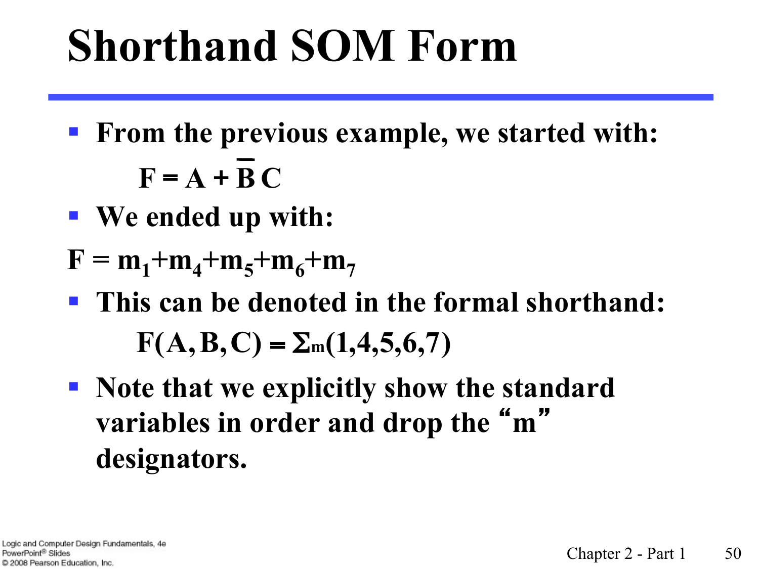# **Shorthand SOM Form**

- § **From the previous example, we started with:**   $F = A + BC$
- § **We ended up with:**
- $F = m_1 + m_4 + m_5 + m_6 + m_7$
- § **This can be denoted in the formal shorthand:**   $F(A, B, C) = \sum_{m} (1, 4, 5, 6, 7)$
- § **Note that we explicitly show the standard variables in order and drop the** " **m** " **designators.**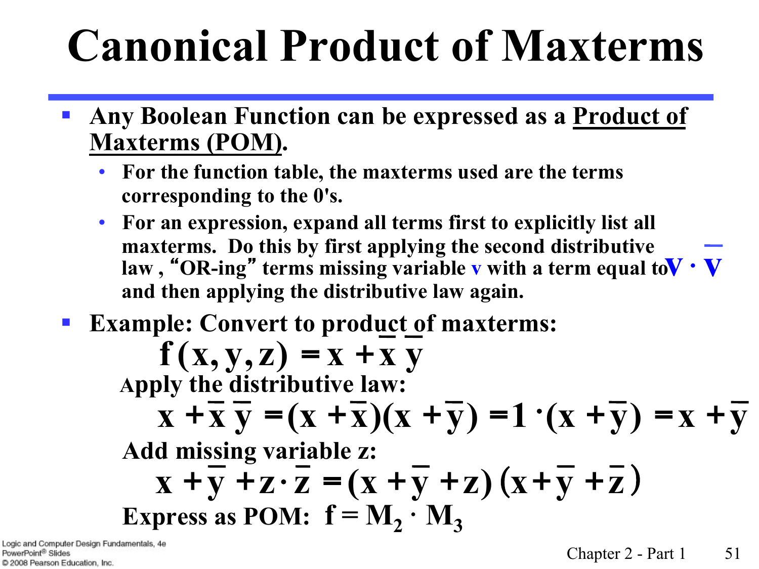# **Canonical Product of Maxterms**

- § **Any Boolean Function can be expressed as a Product of Maxterms (POM).**
	- **For the function table, the maxterms used are the terms corresponding to the 0's.**
	- **For an expression, expand all terms first to explicitly list all maxterms. Do this by first applying the second distributive law, "OR-ing" terms missing variable v with a term equal to**  $\mathbf{V} \cdot \mathbf{V}$ **and then applying the distributive law again.**
- **Example: Convert to product of maxterms:**

$$
f(x, y, z) = x + \overline{x} \overline{y}
$$
  
\nApply the distributive law:  
\n
$$
x + \overline{x} \overline{y} = (x + \overline{x})(x + \overline{y}) = 1 \cdot (x + \overline{y}) = x + \overline{y}
$$
  
\nAdd missing variable z:  
\n
$$
x + \overline{y} + z \cdot \overline{z} = (x + \overline{y} + z) (x + \overline{y} + \overline{z})
$$
  
\nExpress as POM:  $f = M_2 \cdot M_3$ 

Logic and Computer Design Fundamentals, 4e PowerPoint<sup>®</sup> Slides C 2008 Pearson Education, Inc.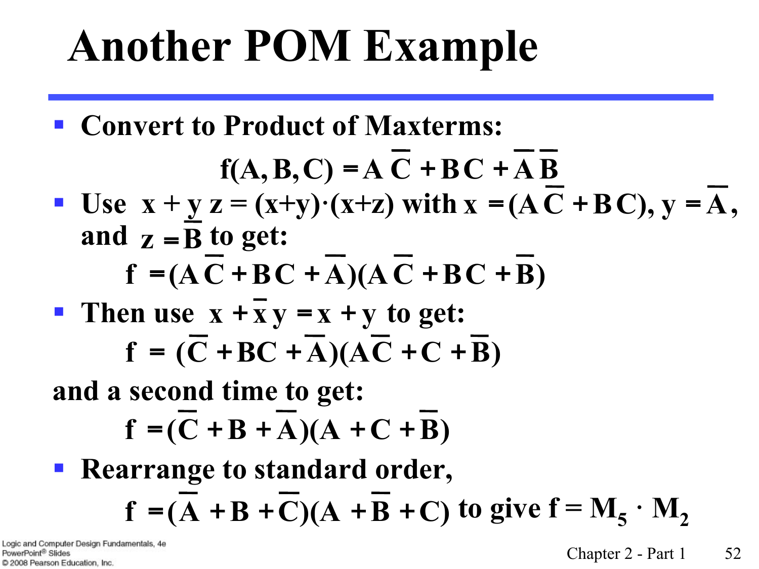# **Another POM Example**

§ **Convert to Product of Maxterms:** 

$$
f(A, B, C) = A \overline{C} + BC + \overline{A} \overline{B}
$$

• Use  $x + y z = (x+y) (x+z)$  with  $x = (AC + BC)$ ,  $y = A$ , and  $z = \overline{B}$  to get:

$$
f = (AC + BC + A)(AC + BC + B)
$$

**P** Then use  $x + \overline{x}y = x + y$  to get:  $f = (\overline{C} + BC + \overline{A})(\overline{AC} + C + \overline{B})$ 

**and a second time to get:** 

$$
\mathbf{f} = (\overline{\mathbf{C}} + \mathbf{B} + \overline{\mathbf{A}})(\mathbf{A} + \mathbf{C} + \overline{\mathbf{B}})
$$

■ Rearrange to standard order,  $f = (\overline{A} + \overline{B} + \overline{C})(A + \overline{B} + C)$  to give  $f = M_5 \cdot M_2$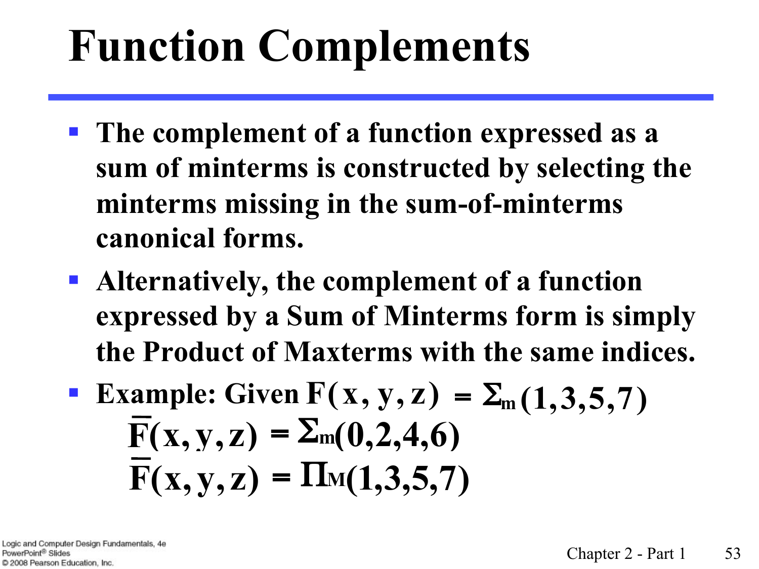# **Function Complements**

- § **The complement of a function expressed as a sum of minterms is constructed by selecting the minterms missing in the sum-of-minterms canonical forms.**
- § **Alternatively, the complement of a function expressed by a Sum of Minterms form is simply the Product of Maxterms with the same indices.**
- **Example:** Given  $F(x, y, z) = \sum_{m} (1, 3, 5, 7)$  $\overline{F}(x, y, z) = \sum_{m} (0, 2, 4, 6)$  $F(x, y, z) = \prod_{M(1,3,5,7)}$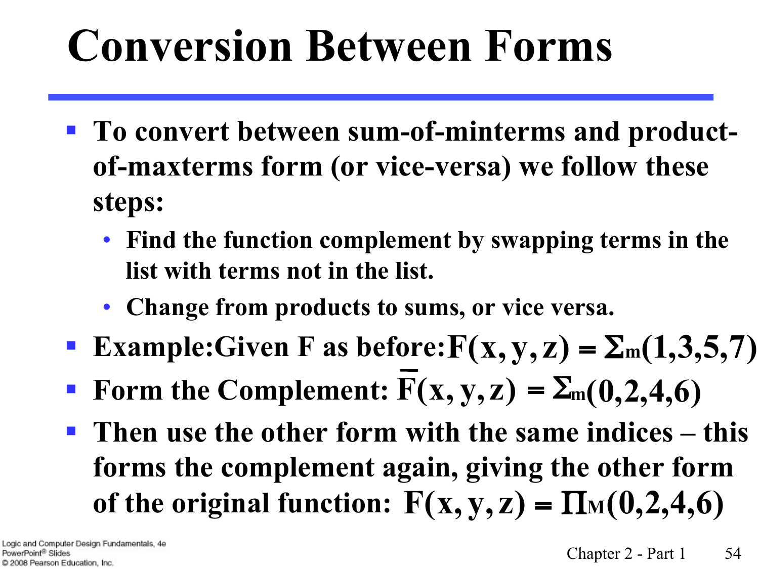# **Conversion Between Forms**

- To convert between sum-of-minterms and product**of-maxterms form (or vice-versa) we follow these steps:** 
	- **Find the function complement by swapping terms in the list with terms not in the list.**
	- **Change from products to sums, or vice versa.**
- **F** Example: Given F as before:  $F(x, y, z) = \sum_{m} (1, 3, 5, 7)$
- **Form the Complement:**  $F(x, y, z) = \sum_{m} (0, 2, 4, 6)$
- § **Then use the other form with the same indices this forms the complement again, giving the other form of the original function:**  $F(x, y, z) = \Pi_M(0, 2, 4, 6)$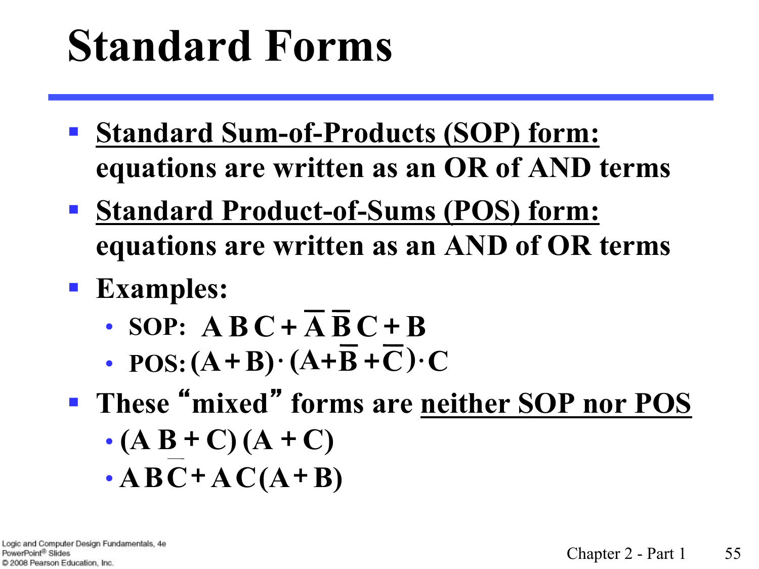# **Standard Forms**

- § **Standard Sum-of-Products (SOP) form: equations are written as an OR of AND terms**
- § **Standard Product-of-Sums (POS) form: equations are written as an AND of OR terms**
- § **Examples:**
	- **SOP:**  $\mathbf{A} \mathbf{B} \mathbf{C} + \overline{\mathbf{A}} \overline{\mathbf{B}} \mathbf{C} + \mathbf{B}$
	- **POS:**  $(A + B) \cdot (A + \overline{B} + \overline{C}) \cdot C$
- § **These** "**mixed**" **forms are neither SOP nor POS** 
	- $\cdot$  (A B + C) (A + C)
	- $\cdot$ **ABC**+**AC**(**A**+**B**)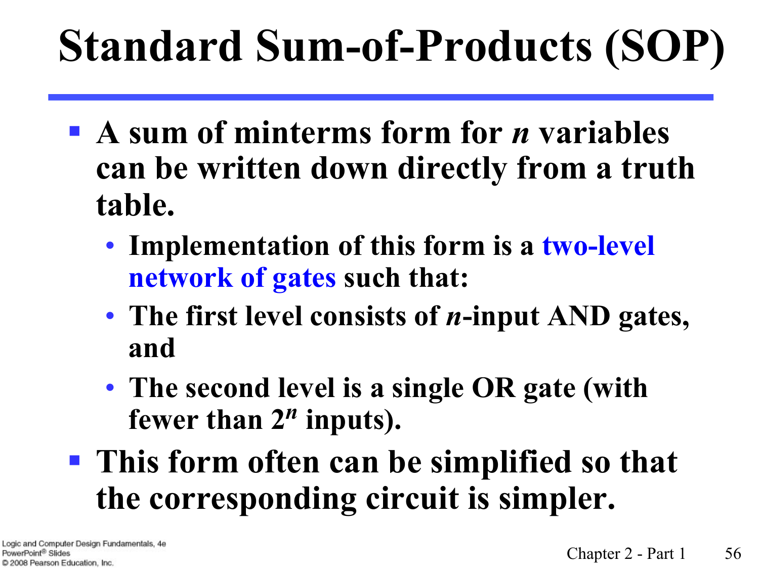# **Standard Sum-of-Products (SOP)**

- **A** sum of minterms form for *n* variables **can be written down directly from a truth table.**
	- **Implementation of this form is a two-level network of gates such that:**
	- **The first level consists of** *n***-input AND gates, and**
	- **The second level is a single OR gate (with fewer than 2***n* **inputs).**
- § **This form often can be simplified so that the corresponding circuit is simpler.**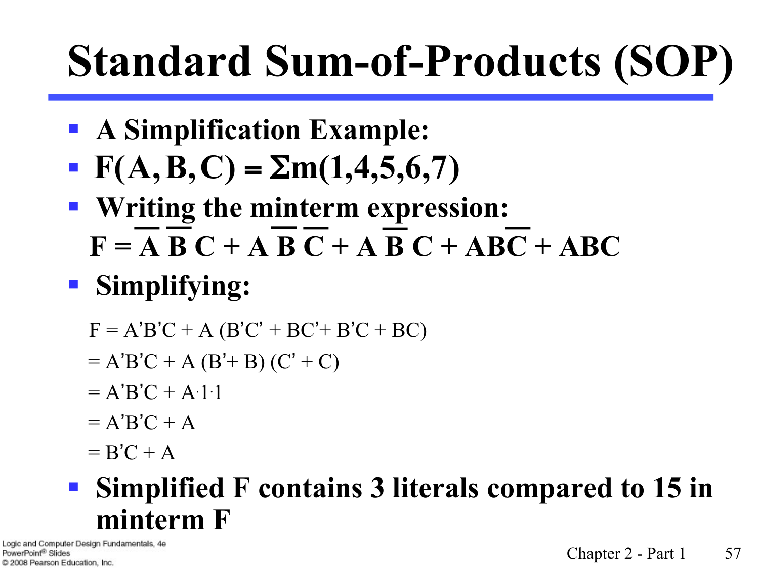# **Standard Sum-of-Products (SOP)**

- § **A Simplification Example:**
- $\textbf{F}(A, B, C) = \Sigma m(1, 4, 5, 6, 7)$
- § **Writing the minterm expression:**   $F = A B C + A B C + A B C + ABC + ABC$
- § **Simplifying:** 
	- $F = A'B'C + A (B'C' + BC' + B'C + BC)$
	- $= A'B'C + A (B'+B) (C'+C)$
- $= A'B'C + A.1.1$ 
	- $= A'B'C + A$
	- $=$  B'C + A

#### § **Simplified F contains 3 literals compared to 15 in minterm F**

Logic and Computer Design Fundamentals, 4e PowerPoint<sup>®</sup> Slides C 2008 Pearson Education, Inc.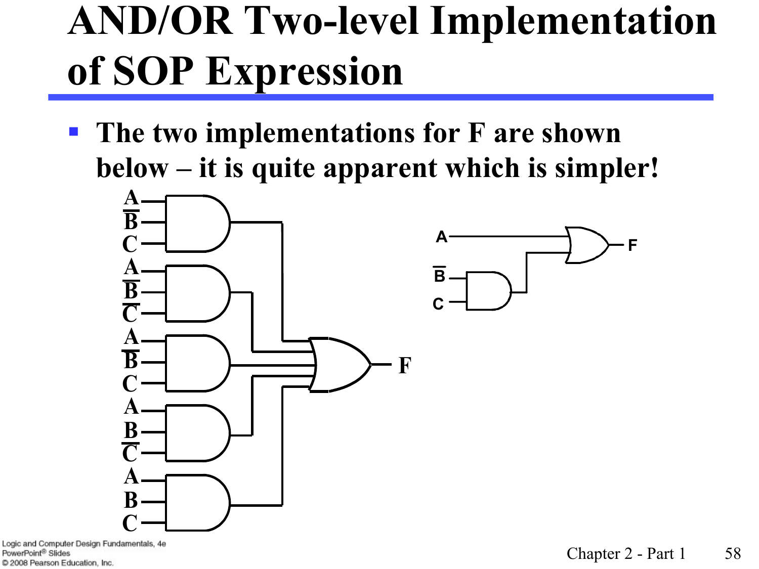### **AND/OR Two-level Implementation of SOP Expression**

■ The two implementations for **F** are shown **below – it is quite apparent which is simpler!**



Logic and Computer Design Fundamentals, 4e PowerPoint<sup>®</sup> Slides C 2008 Pearson Education, Inc.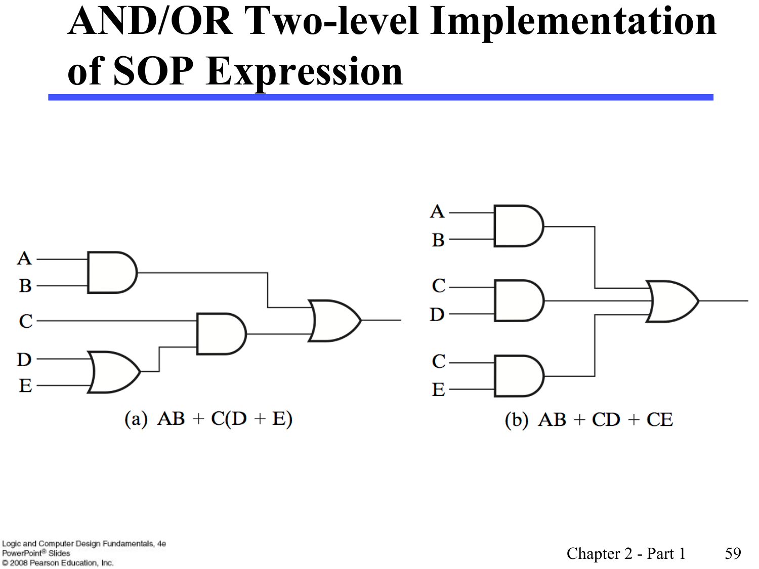#### **AND/OR Two-level Implementation of SOP Expression**

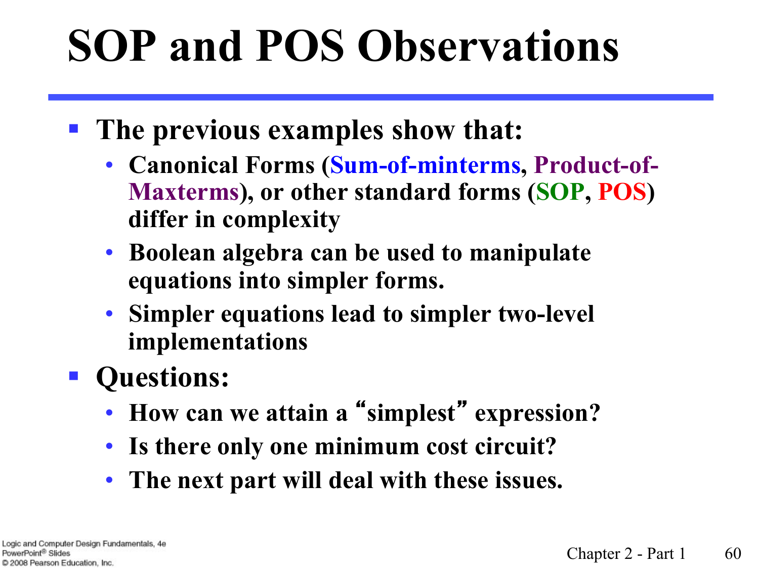# **SOP and POS Observations**

- § **The previous examples show that:**
	- **Canonical Forms (Sum-of-minterms, Product-of-Maxterms), or other standard forms (SOP, POS) differ in complexity**
	- **Boolean algebra can be used to manipulate equations into simpler forms.**
	- **Simpler equations lead to simpler two-level implementations**
- § **Questions:**
	- **How can we attain a** "**simplest**" **expression?**
	- **Is there only one minimum cost circuit?**
	- **The next part will deal with these issues.**